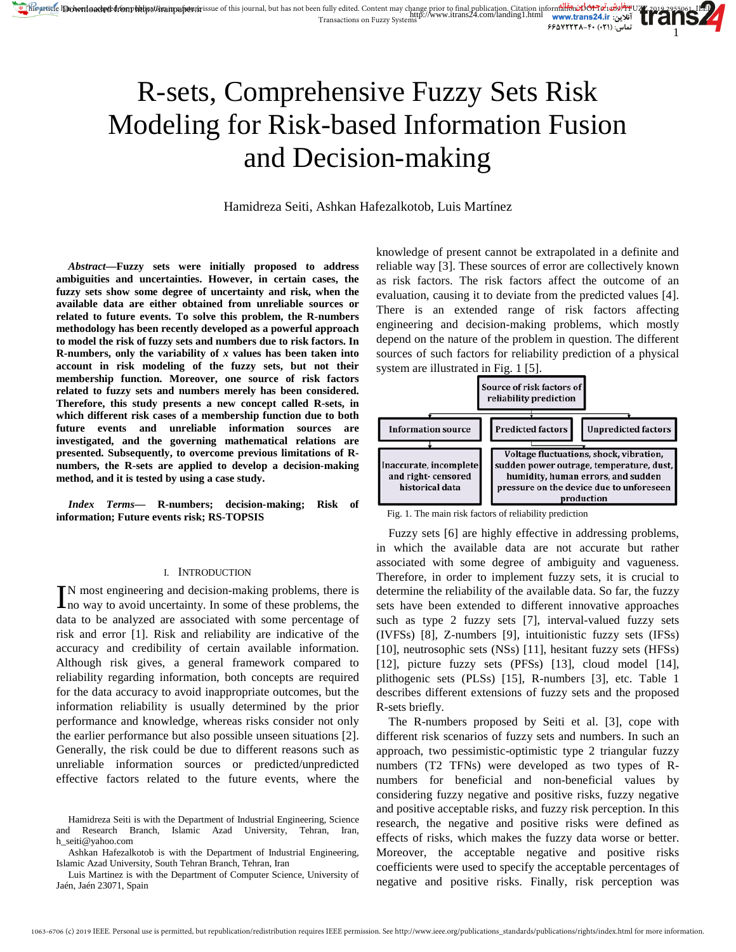# R-sets, Comprehensive Fuzzy Sets Risk Modeling for Risk-based Information Fusion and Decision-making

Hamidreza Seiti, Ashkan Hafezalkotob, Luis Martínez

*Abstract***—Fuzzy sets were initially proposed to address ambiguities and uncertainties. However, in certain cases, the fuzzy sets show some degree of uncertainty and risk, when the available data are either obtained from unreliable sources or related to future events. To solve this problem, the R-numbers methodology has been recently developed as a powerful approach to model the risk of fuzzy sets and numbers due to risk factors. In R-numbers, only the variability of** *x* **values has been taken into account in risk modeling of the fuzzy sets, but not their membership function. Moreover, one source of risk factors related to fuzzy sets and numbers merely has been considered. Therefore, this study presents a new concept called R-sets, in which different risk cases of a membership function due to both future events and unreliable information sources are investigated, and the governing mathematical relations are presented. Subsequently, to overcome previous limitations of Rnumbers, the R-sets are applied to develop a decision-making method, and it is tested by using a case study.** 

*Index Terms***— R-numbers; decision-making; Risk of information; Future events risk; RS-TOPSIS**

#### I. INTRODUCTION

N most engineering and decision-making problems, there is IN most engineering and decision-making problems, there is no way to avoid uncertainty. In some of these problems, the data to be analyzed are associated with some percentage of risk and error [1]. Risk and reliability are indicative of the accuracy and credibility of certain available information. Although risk gives, a general framework compared to reliability regarding information, both concepts are required for the data accuracy to avoid inappropriate outcomes, but the information reliability is usually determined by the prior performance and knowledge, whereas risks consider not only the earlier performance but also possible unseen situations [2]. Generally, the risk could be due to different reasons such as unreliable information sources or predicted/unpredicted effective factors related to the future events, where the

knowledge of present cannot be extrapolated in a definite and reliable way [3]. These sources of error are collectively known as risk factors. The risk factors affect the outcome of an evaluation, causing it to deviate from the predicted values [4]. There is an extended range of risk factors affecting engineering and decision-making problems, which mostly depend on the nature of the problem in question. The different sources of such factors for reliability prediction of a physical system are illustrated in Fig. 1 [5].

1



Fig. 1. The main risk factors of reliability prediction

Fuzzy sets [6] are highly effective in addressing problems, in which the available data are not accurate but rather associated with some degree of ambiguity and vagueness. Therefore, in order to implement fuzzy sets, it is crucial to determine the reliability of the available data. So far, the fuzzy sets have been extended to different innovative approaches such as type 2 fuzzy sets [7], interval-valued fuzzy sets (IVFSs) [8], Z-numbers [9], intuitionistic fuzzy sets (IFSs) [10], neutrosophic sets (NSs) [11], hesitant fuzzy sets (HFSs) [12], picture fuzzy sets (PFSs) [13], cloud model [14], plithogenic sets (PLSs) [15], R-numbers [3], etc. Table 1 describes different extensions of fuzzy sets and the proposed R-sets briefly.

The R-numbers proposed by Seiti et al. [3], cope with different risk scenarios of fuzzy sets and numbers. In such an approach, two pessimistic-optimistic type 2 triangular fuzzy numbers (T2 TFNs) were developed as two types of Rnumbers for beneficial and non-beneficial values by considering fuzzy negative and positive risks, fuzzy negative and positive acceptable risks, and fuzzy risk perception. In this research, the negative and positive risks were defined as effects of risks, which makes the fuzzy data worse or better. Moreover, the acceptable negative and positive risks coefficients were used to specify the acceptable percentages of negative and positive risks. Finally, risk perception was

Hamidreza Seiti is with the Department of Industrial Engineering, Science and Research Branch, Islamic Azad University, Tehran, Iran, h\_seiti@yahoo.com

Ashkan Hafezalkotob is with the Department of Industrial Engineering, Islamic Azad University, South Tehran Branch, Tehran, Iran

Luis Martinez is with the Department of Computer Science, University of Jaén, Jaén 23071, Spain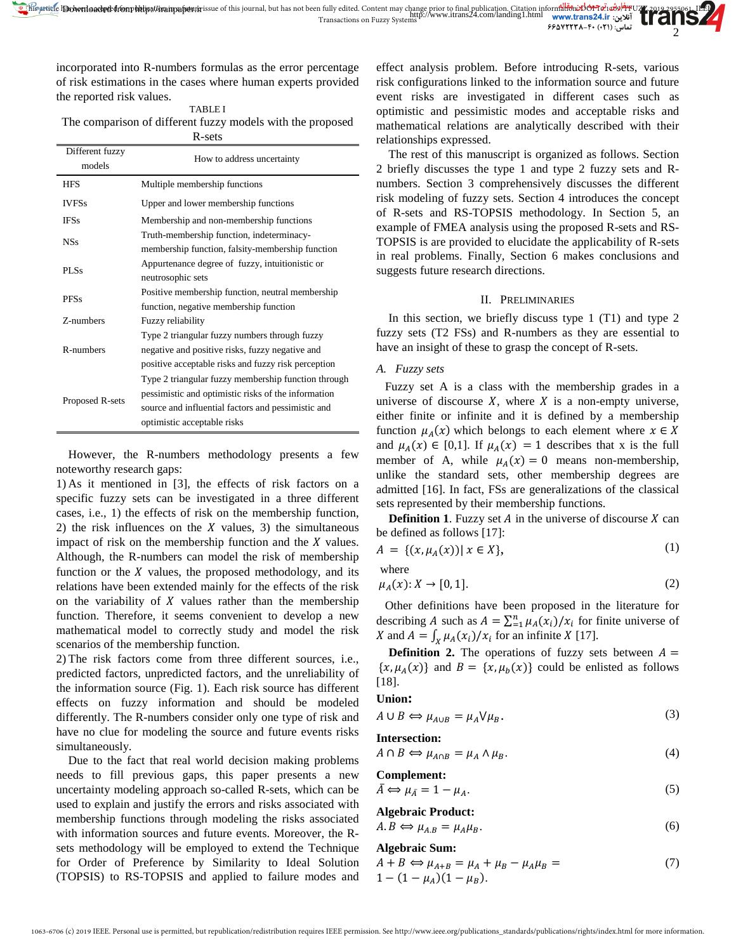incorporated into R-numbers formulas as the error percentage of risk estimations in the cases where human experts provided the reported risk values.

TABLE I The comparison of different fuzzy models with the proposed R-sets

| Different fuzzy<br>models | How to address uncertainty                                                                                                                                                                      |
|---------------------------|-------------------------------------------------------------------------------------------------------------------------------------------------------------------------------------------------|
| <b>HFS</b>                | Multiple membership functions                                                                                                                                                                   |
| <b>IVFSs</b>              | Upper and lower membership functions                                                                                                                                                            |
| <b>IFSs</b>               | Membership and non-membership functions                                                                                                                                                         |
| <b>NSs</b>                | Truth-membership function, indeterminacy-<br>membership function, falsity-membership function                                                                                                   |
| PLSs                      | Appurtenance degree of fuzzy, intuitionistic or<br>neutrosophic sets                                                                                                                            |
| <b>PFSs</b>               | Positive membership function, neutral membership<br>function, negative membership function                                                                                                      |
| Z-numbers                 | Fuzzy reliability                                                                                                                                                                               |
| R-numbers                 | Type 2 triangular fuzzy numbers through fuzzy<br>negative and positive risks, fuzzy negative and<br>positive acceptable risks and fuzzy risk perception                                         |
| Proposed R-sets           | Type 2 triangular fuzzy membership function through<br>pessimistic and optimistic risks of the information<br>source and influential factors and pessimistic and<br>optimistic acceptable risks |

However, the R-numbers methodology presents a few noteworthy research gaps:

1) As it mentioned in [3], the effects of risk factors on a specific fuzzy sets can be investigated in a three different cases, i.e., 1) the effects of risk on the membership function, 2) the risk influences on the  $X$  values, 3) the simultaneous impact of risk on the membership function and the  $X$  values. Although, the R-numbers can model the risk of membership function or the  $X$  values, the proposed methodology, and its relations have been extended mainly for the effects of the risk on the variability of  $X$  values rather than the membership function. Therefore, it seems convenient to develop a new mathematical model to correctly study and model the risk scenarios of the membership function.

2) The risk factors come from three different sources, i.e., predicted factors, unpredicted factors, and the unreliability of the information source (Fig. 1). Each risk source has different effects on fuzzy information and should be modeled differently. The R-numbers consider only one type of risk and have no clue for modeling the source and future events risks simultaneously.

Due to the fact that real world decision making problems needs to fill previous gaps, this paper presents a new uncertainty modeling approach so-called R-sets, which can be used to explain and justify the errors and risks associated with membership functions through modeling the risks associated with information sources and future events. Moreover, the Rsets methodology will be employed to extend the Technique for Order of Preference by Similarity to Ideal Solution (TOPSIS) to RS-TOPSIS and applied to failure modes and

effect analysis problem. Before introducing R-sets, various risk configurations linked to the information source and future event risks are investigated in different cases such as optimistic and pessimistic modes and acceptable risks and mathematical relations are analytically described with their relationships expressed.

The rest of this manuscript is organized as follows. Section 2 briefly discusses the type 1 and type 2 fuzzy sets and Rnumbers. Section 3 comprehensively discusses the different risk modeling of fuzzy sets. Section 4 introduces the concept of R-sets and RS-TOPSIS methodology. In Section 5, an example of FMEA analysis using the proposed R-sets and RS-TOPSIS is are provided to elucidate the applicability of R-sets in real problems. Finally, Section 6 makes conclusions and suggests future research directions.

### II. PRELIMINARIES

In this section, we briefly discuss type 1 (T1) and type 2 fuzzy sets (T2 FSs) and R-numbers as they are essential to have an insight of these to grasp the concept of R-sets.

# *A. Fuzzy sets*

Fuzzy set A is a class with the membership grades in a universe of discourse  $X$ , where  $X$  is a non-empty universe, either finite or infinite and it is defined by a membership function  $\mu_A(x)$  which belongs to each element where  $x \in X$ and  $\mu_A(x) \in [0,1]$ . If  $\mu_A(x) = 1$  describes that x is the full member of A, while  $\mu_A(x) = 0$  means non-membership, unlike the standard sets, other membership degrees are admitted [16]. In fact, FSs are generalizations of the classical sets represented by their membership functions.

**Definition 1.** Fuzzy set  $A$  in the universe of discourse  $X$  can be defined as follows [17]:

$$
A = \{ (x, \mu_A(x)) | x \in X \},
$$
 (1)

where

$$
\mu_A(x): X \to [0, 1]. \tag{2}
$$

Other definitions have been proposed in the literature for describing A such as  $A = \sum_{i=1}^{n} \mu_A(x_i) / x_i$  for finite universe of X and  $A = \int_X \mu_A(x_i)/x_i$  for an infinite X [17].

**Definition 2.** The operations of fuzzy sets between  $A =$  $\{x, \mu_A(x)\}\$ and  $B = \{x, \mu_b(x)\}\$ could be enlisted as follows [18].

### **Union:**

$$
A \cup B \Leftrightarrow \mu_{A \cup B} = \mu_A \vee \mu_B. \tag{3}
$$

**Intersection:**

$$
A \cap B \Leftrightarrow \mu_{A \cap B} = \mu_A \wedge \mu_B. \tag{4}
$$

Complement:

\n
$$
\bar{A} \Leftrightarrow \mu_{\bar{A}} = 1 - \mu_A.
$$
\n(5)

**Algebraic Product:**

$$
A.B \Leftrightarrow \mu_{A.B} = \mu_A \mu_B. \tag{6}
$$

# **Algebraic Sum:**

$$
A + B \Leftrightarrow \mu_{A+B} = \mu_A + \mu_B - \mu_A \mu_B =
$$
  
1 - (1 - \mu\_A)(1 - \mu\_B). (7)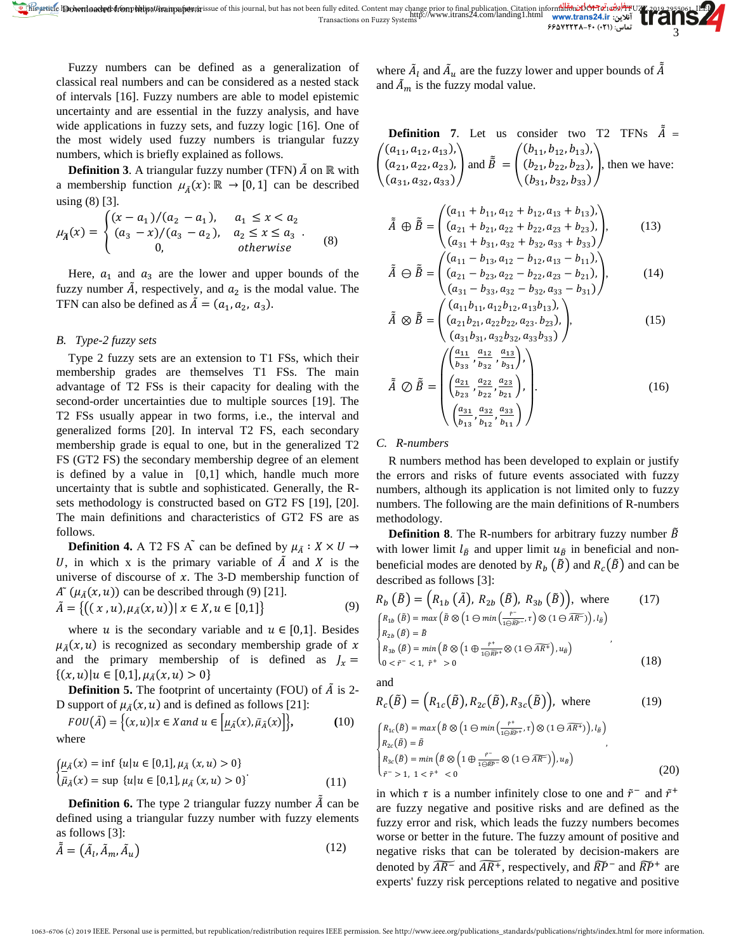Fuzzy numbers can be defined as a generalization of classical real numbers and can be considered as a nested stack of intervals [16]. Fuzzy numbers are able to model epistemic uncertainty and are essential in the fuzzy analysis, and have wide applications in fuzzy sets, and fuzzy logic [16]. One of the most widely used fuzzy numbers is triangular fuzzy numbers, which is briefly explained as follows.

**Definition 3**. A triangular fuzzy number (TFN)  $\tilde{A}$  on ℝ with a membership function  $\mu_{\tilde{A}}(x) : \mathbb{R} \to [0,1]$  can be described using (8) [3].

$$
\mu_{\tilde{A}}(x) = \begin{cases} (x - a_1)/(a_2 - a_1), & a_1 \le x < a_2 \\ (a_3 - x)/(a_3 - a_2), & a_2 \le x \le a_3 \\ 0, & \text{otherwise} \end{cases}
$$
 (8)

Here,  $a_1$  and  $a_3$  are the lower and upper bounds of the fuzzy number  $\tilde{A}$ , respectively, and  $a_2$  is the modal value. The TFN can also be defined as  $\tilde{A} = (a_1, a_2, a_3)$ .

### *B. Type-2 fuzzy sets*

Type 2 fuzzy sets are an extension to T1 FSs, which their membership grades are themselves T1 FSs. The main advantage of T2 FSs is their capacity for dealing with the second-order uncertainties due to multiple sources [19]. The T2 FSs usually appear in two forms, i.e., the interval and generalized forms [20]. In interval T2 FS, each secondary membership grade is equal to one, but in the generalized T2 FS (GT2 FS) the secondary membership degree of an element is defined by a value in  $[0,1]$  which, handle much more uncertainty that is subtle and sophisticated. Generally, the Rsets methodology is constructed based on GT2 FS [19], [20]. The main definitions and characteristics of GT2 FS are as follows.

**Definition 4.** A T2 FS A  $\tilde{ }$  can be defined by  $\mu_{\tilde{A}} : X \times U \rightarrow$ U, in which x is the primary variable of  $\tilde{A}$  and X is the universe of discourse of  $x$ . The 3-D membership function of  $A^{\sim}(\mu_{\tilde{A}}(x, u))$  can be described through (9) [21].

$$
\tilde{A} = \{ ((x, u), \mu_{\tilde{A}}(x, u)) | x \in X, u \in [0, 1] \}
$$
\n(9)

where u is the secondary variable and  $u \in [0,1]$ . Besides  $\mu_{\tilde{A}}(x, u)$  is recognized as secondary membership grade of x and the primary membership of is defined as  $J_x =$  $\{(x, u) | u \in [0,1], \mu_{\tilde{A}}(x, u) > 0\}$ 

**Definition 5.** The footprint of uncertainty (FOU) of  $\tilde{A}$  is 2-D support of  $\mu_{\tilde{A}}(x, u)$  and is defined as follows [21]:

$$
FOU(\tilde{A}) = \{(x, u) | x \in X \text{ and } u \in \left[ \underline{\mu}_{\tilde{A}}(x), \bar{\mu}_{\tilde{A}}(x) \right] \},\tag{10}
$$
 where

$$
\begin{cases}\n\underline{\mu}_{\tilde{A}}(x) = \inf \{u | u \in [0,1], \mu_{\tilde{A}}(x, u) > 0\} \\
\overline{\mu}_{\tilde{A}}(x) = \sup \{u | u \in [0,1], \mu_{\tilde{A}}(x, u) > 0\}\n\end{cases}
$$
\n(11)

**Definition 6.** The type 2 triangular fuzzy number  $\tilde{A}$  can be defined using a triangular fuzzy number with fuzzy elements as follows [3]:

$$
\tilde{\tilde{A}} = (\tilde{A}_l, \tilde{A}_m, \tilde{A}_u) \tag{12}
$$

where  $\tilde{A}_l$  and  $\tilde{A}_u$  are the fuzzy lower and upper bounds of  $\tilde{A}$ and  $\tilde{A}_m$  is the fuzzy modal value.

**Definition 7.** Let us consider two T2 TFNs 
$$
\tilde{A} = \begin{pmatrix} (a_{11}, a_{12}, a_{13}), \\ (a_{21}, a_{22}, a_{23}), \\ (a_{31}, a_{32}, a_{33}) \end{pmatrix}
$$
 and  $\tilde{B} = \begin{pmatrix} (b_{11}, b_{12}, b_{13}), \\ (b_{21}, b_{22}, b_{23}), \\ (b_{31}, b_{32}, b_{33}) \end{pmatrix}$ , then we have:

$$
\tilde{\tilde{A}} \oplus \tilde{\tilde{B}} = \begin{pmatrix} (a_{11} + b_{11}, a_{12} + b_{12}, a_{13} + b_{13}), \\ (a_{21} + b_{21}, a_{22} + b_{22}, a_{23} + b_{23}), \\ (a_{31} + b_{31}, a_{32} + b_{32}, a_{33} + b_{33}) \end{pmatrix},
$$
(13)

$$
\tilde{A} \ominus \tilde{B} = \begin{pmatrix} (a_{11} - b_{13}, a_{12} - b_{12}, a_{13} - b_{11}), \\ (a_{21} - b_{23}, a_{22} - b_{22}, a_{23} - b_{21}), \\ (a_{31} - b_{33}, a_{32} - b_{32}, a_{33} - b_{31}) \end{pmatrix},
$$
(14)

$$
\tilde{A} \otimes \tilde{B} = \begin{pmatrix} (a_{11}b_{11}, a_{12}b_{12}, a_{13}b_{13}), \\ (a_{21}b_{21}, a_{22}b_{22}, a_{23}, b_{23}), \\ (a_{31}b_{31}, a_{32}b_{32}, a_{33}b_{33}) \end{pmatrix},
$$
(15)  

$$
\tilde{A} \otimes \tilde{B} = \begin{pmatrix} \left(\frac{a_{11}}{b_{33}}, \frac{a_{12}}{b_{32}}, \frac{a_{13}}{b_{31}}\right), \\ \left(\frac{a_{21}}{b_{23}}, \frac{a_{22}}{b_{22}}, \frac{a_{23}}{b_{21}}\right), \\ \left(\frac{a_{31}}{b_{13}}, \frac{a_{32}}{b_{12}}, \frac{a_{33}}{b_{11}}\right) \end{pmatrix},
$$
(16)

#### *C. R-numbers*

R numbers method has been developed to explain or justify the errors and risks of future events associated with fuzzy numbers, although its application is not limited only to fuzzy numbers. The following are the main definitions of R-numbers methodology.

**Definition 8.** The R-numbers for arbitrary fuzzy number  $\tilde{B}$ with lower limit  $l_{\tilde{B}}$  and upper limit  $u_{\tilde{B}}$  in beneficial and nonbeneficial modes are denoted by  $R_h(\tilde{B})$  and  $R_c(\tilde{B})$  and can be described as follows [3]:

$$
R_b\left(\tilde{B}\right) = \left(R_{1b}\left(\tilde{A}\right), R_{2b}\left(\tilde{B}\right), R_{3b}\left(\tilde{B}\right)\right), \text{ where } (17)
$$
\n
$$
\begin{cases}\nR_{1b}\left(\tilde{B}\right) = \max\left(\tilde{B}\otimes\left(1 \ominus \min\left(\frac{r}{1 \ominus \tilde{R}P^{-}}, r\right) \otimes \left(1 \ominus \overline{A}R^{-}\right)\right), l_B\right) \\
R_{2b}\left(\tilde{B}\right) = \tilde{B} \\
R_{3b}\left(\tilde{B}\right) = \min\left(\tilde{B}\otimes\left(1 \oplus \frac{r^{+}}{1 \ominus \tilde{R}P^{+}} \otimes \left(1 \ominus \overline{A}R^{+}\right), u_{\tilde{B}}\right)\right)\n\end{cases}
$$
\n
$$
\begin{cases}\n0 < r^{-} < 1, r^{+} > 0\n\end{cases}
$$
\n
$$
(18)
$$

and

$$
R_c(\tilde{B}) = (R_{1c}(\tilde{B}), R_{2c}(\tilde{B}), R_{3c}(\tilde{B})), \text{ where } (19)
$$

$$
\begin{cases}\nR_{1c}(\tilde{B}) = \max\left(\tilde{B} \otimes \left(1 \ominus \min\left(\frac{\tilde{r}^+}{1 \ominus \tilde{R}P^+}, \tau\right) \otimes (1 \ominus \widetilde{AR^+})\right), l_{\tilde{B}}\right) \\
R_{2c}(\tilde{B}) = \tilde{B} \\
R_{3c}(\tilde{B}) = \min\left(\tilde{B} \otimes \left(1 \oplus \frac{\tilde{r}^-}{1 \ominus \tilde{R}P^-} \otimes (1 \ominus \widetilde{AR^-})\right), u_{\tilde{B}}\right) \\
\tilde{r}^- > 1, 1 < \tilde{r}^+ < 0\n\end{cases},\n\tag{20}
$$

in which  $\tau$  is a number infinitely close to one and  $\tilde{r}^-$  and  $\tilde{r}^+$ are fuzzy negative and positive risks and are defined as the fuzzy error and risk, which leads the fuzzy numbers becomes worse or better in the future. The fuzzy amount of positive and negative risks that can be tolerated by decision-makers are denoted by  $AR^-$  and  $AR^+$ , respectively, and  $RP^-$  and  $RP^+$  are experts' fuzzy risk perceptions related to negative and positive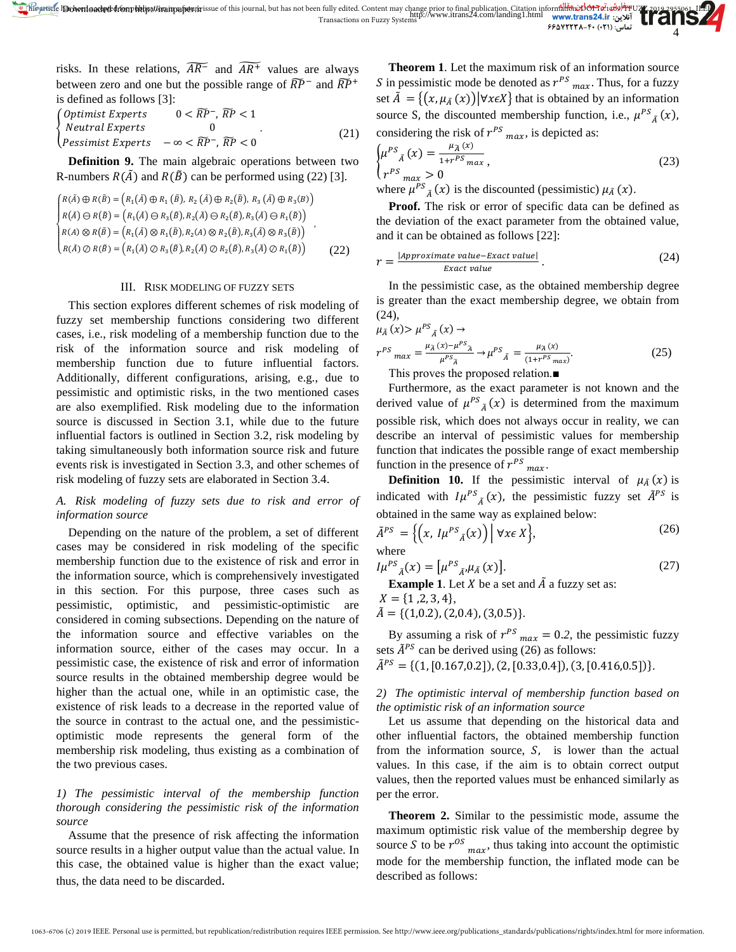risks. In these relations,  $AR^{-}$  and  $AR^{+}$  values are always between zero and one but the possible range of  $\widetilde{RP}^-$  and  $\widetilde{RP}^+$ is defined as follows [3]:

 $\left\{\right.$  Neutral Experts  $\qquad \qquad 0$ Optimist Experts  $0 < \widetilde{RP}^-$ ,  $\widetilde{RP} < 1$  $Express \, -\infty < RP^-, RP < 0$  $(21)$ 

**Definition 9.** The main algebraic operations between two R-numbers  $R(\tilde{A})$  and  $R(\tilde{B})$  can be performed using (22) [3].

$$
\begin{cases}\nR(\tilde{A}) \oplus R(\tilde{B}) = (R_1(\tilde{A}) \oplus R_1(\tilde{B}), R_2(\tilde{A}) \oplus R_2(\tilde{B}), R_3(\tilde{A}) \oplus R_3(B)) \\
R(\tilde{A}) \ominus R(\tilde{B}) = (R_1(\tilde{A}) \ominus R_3(\tilde{B}), R_2(\tilde{A}) \ominus R_2(\tilde{B}), R_3(\tilde{A}) \ominus R_1(\tilde{B})) \\
R(A) \otimes R(\tilde{B}) = (R_1(\tilde{A}) \otimes R_1(\tilde{B}), R_2(A) \otimes R_2(\tilde{B}), R_3(\tilde{A}) \otimes R_3(\tilde{B})) \\
R(\tilde{A}) \oslash R(\tilde{B}) = (R_1(\tilde{A}) \oslash R_3(\tilde{B}), R_2(\tilde{A}) \oslash R_2(\tilde{B}), R_3(\tilde{A}) \oslash R_1(\tilde{B}))\n\end{cases} (22)
$$

#### III. RISK MODELING OF FUZZY SETS

This section explores different schemes of risk modeling of fuzzy set membership functions considering two different cases, i.e., risk modeling of a membership function due to the risk of the information source and risk modeling of membership function due to future influential factors. Additionally, different configurations, arising, e.g., due to pessimistic and optimistic risks, in the two mentioned cases are also exemplified. Risk modeling due to the information source is discussed in Section 3.1, while due to the future influential factors is outlined in Section 3.2, risk modeling by taking simultaneously both information source risk and future events risk is investigated in Section 3.3, and other schemes of risk modeling of fuzzy sets are elaborated in Section 3.4.

# *A. Risk modeling of fuzzy sets due to risk and error of information source*

Depending on the nature of the problem, a set of different cases may be considered in risk modeling of the specific membership function due to the existence of risk and error in the information source, which is comprehensively investigated in this section. For this purpose, three cases such as pessimistic, optimistic, and pessimistic-optimistic are considered in coming subsections. Depending on the nature of the information source and effective variables on the information source, either of the cases may occur. In a pessimistic case, the existence of risk and error of information source results in the obtained membership degree would be higher than the actual one, while in an optimistic case, the existence of risk leads to a decrease in the reported value of the source in contrast to the actual one, and the pessimisticoptimistic mode represents the general form of the membership risk modeling, thus existing as a combination of the two previous cases.

# *1) The pessimistic interval of the membership function thorough considering the pessimistic risk of the information source*

Assume that the presence of risk affecting the information source results in a higher output value than the actual value. In this case, the obtained value is higher than the exact value; thus, the data need to be discarded.

**Theorem 1**. Let the maximum risk of an information source S in pessimistic mode be denoted as  $r^{PS}$  max. Thus, for a fuzzy set  $\tilde{A} = \{ (x, \mu_{\tilde{A}}(x)) | \forall x \in X \}$  that is obtained by an information source S, the discounted membership function, i.e.,  $\mu^{PS}_{\tilde{A}}(x)$ , considering the risk of  $r^{PS}$  <sub>max</sub>, is depicted as:

$$
\begin{cases}\n\mu^{PS}{}_A(x) = \frac{\mu_{\widetilde{A}}(x)}{1 + r^{PS} \max}, & (23) \\
r^{PS}{}_{}_{max} > 0\n\end{cases}
$$
\nwhere  $\mu^{PS}{}_S(x)$  is the discounted (persistent)  $\mu_z(x)$ 

where  $\mu^{PS}_{\tilde{A}}(x)$  is the discounted (pessimistic)  $\mu_{\tilde{A}}(x)$ .

**Proof.** The risk or error of specific data can be defined as the deviation of the exact parameter from the obtained value, and it can be obtained as follows [22]:

$$
r = \frac{|Approximate value - Exact value|}{Exact value}.
$$
 (24)

In the pessimistic case, as the obtained membership degree is greater than the exact membership degree, we obtain from (24),

$$
\mu_{\tilde{A}}(x) > \mu^{PS}_{\tilde{A}}(x) \to \nr^{PS}_{max} = \frac{\mu_{\tilde{A}}(x) - \mu^{PS}_{\tilde{A}}}{\mu^{PS}_{\tilde{A}}} \to \mu^{PS}_{\tilde{A}} = \frac{\mu_{\tilde{A}}(x)}{(1 + r^{PS}_{max})}.
$$
\n(25)

This proves the proposed relation.■

Furthermore, as the exact parameter is not known and the derived value of  $\mu^{PS}_{\tilde{A}}(x)$  is determined from the maximum possible risk, which does not always occur in reality, we can describe an interval of pessimistic values for membership function that indicates the possible range of exact membership function in the presence of  $r^{PS}$  <sub>max</sub>.

**Definition 10.** If the pessimistic interval of  $\mu_{\bar{A}}(x)$  is indicated with  $I\mu^{PS}_{\tilde{A}}(x)$ , the pessimistic fuzzy set  $\tilde{A}^{PS}$  is obtained in the same way as explained below:

$$
\tilde{A}^{PS} = \left\{ \left( x, I\mu^{PS}{}_{\tilde{A}}(x) \right) \middle| \forall x \in X \right\},\tag{26}
$$

$$
I\mu^{PS}_{\tilde{A}}(x) = \left[\mu^{PS}_{\tilde{A}'}\mu_{\tilde{A}}(x)\right].
$$
 (27)

**Example 1.** Let  $X$  be a set and  $\tilde{A}$  a fuzzy set as:

$$
X = \{1, 2, 3, 4\},\
$$
  

$$
\tilde{A} = \{(1, 0.2), (2, 0.4), (3, 0.5)\}.
$$

By assuming a risk of  $r^{PS}$ <sub>max</sub> = 0.2, the pessimistic fuzzy

sets  $\tilde{A}^{PS}$  can be derived using (26) as follows:  $\tilde{A}^{PS} = \{(1, [0.167, 0.2]), (2, [0.33, 0.4]), (3, [0.416, 0.5])\}.$ 

# *2) The optimistic interval of membership function based on the optimistic risk of an information source*

Let us assume that depending on the historical data and other influential factors, the obtained membership function from the information source,  $S$ , is lower than the actual values. In this case, if the aim is to obtain correct output values, then the reported values must be enhanced similarly as per the error.

**Theorem 2.** Similar to the pessimistic mode, assume the maximum optimistic risk value of the membership degree by source S to be  $r^{OS}$   $_{max}$ , thus taking into account the optimistic mode for the membership function, the inflated mode can be described as follows: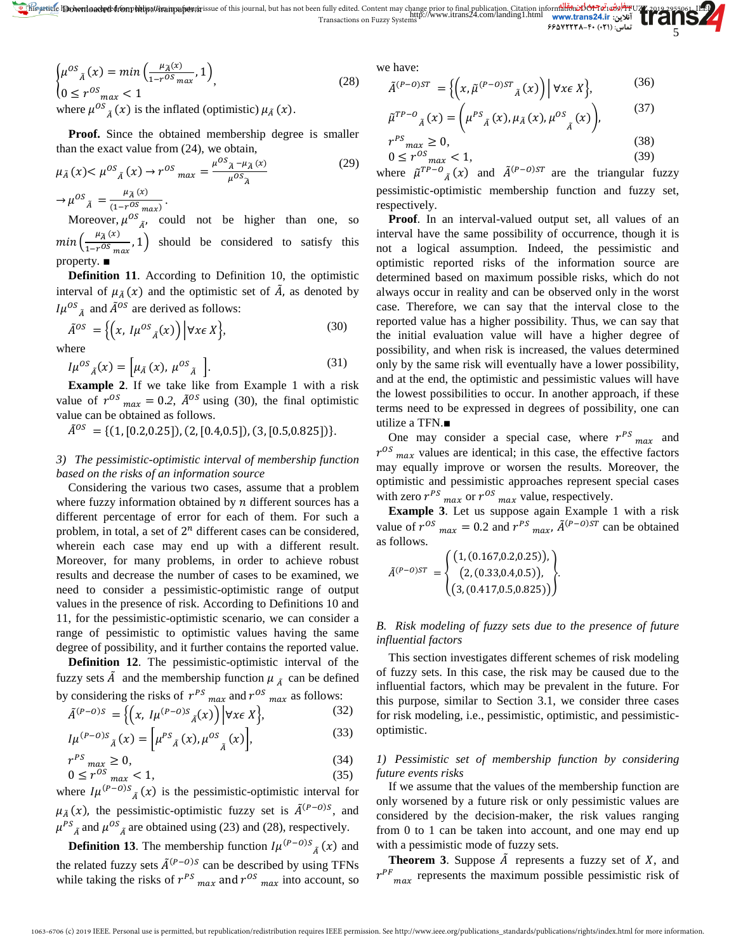$$
\begin{cases}\n\mu^{OS}{}_{\tilde{A}}(x) = \min\left(\frac{\mu_{\tilde{A}}(x)}{1 - r^{OS} \max}, 1\right) \\
0 \le r^{OS}{}_{max} < 1\n\end{cases} \tag{28}
$$
\nwhere  $\mu^{OS}{}_{\tilde{B}}(x)$  is the inflated (optimistic)  $\mu_{\tilde{B}}(x)$ .

where  $\mu^{OS}_{\tilde{A}}(x)$  is the inflated (optimistic)  $\mu_{\tilde{A}}(x)$ .

**Proof.** Since the obtained membership degree is smaller than the exact value from (24), we obtain,

$$
\mu_{\tilde{A}}(x) < \mu^{OS}{}_{\tilde{A}}(x) \to r^{OS}{}_{max} = \frac{\mu^{OS}{}_{\tilde{A}} - \mu_{\tilde{A}}(x)}{\mu^{OS}{}_{\tilde{A}}} \tag{29}
$$

 $\rightarrow \mu^{OS}$ <sub>A</sub> =  $\frac{\mu_{\widetilde{A}}(x)}{(1-r^{OS}max)}$ .

Moreover,  $\mu^{OS}$ <sub> $\tilde{A}$ </sub>, could not be higher than one, so  $min\left(\frac{\mu_{\overline{A}}(x)}{1-r^{OS} max}, 1\right)$  should be considered to satisfy this property. ■

**Definition 11**. According to Definition 10, the optimistic interval of  $\mu_{\tilde{A}}(x)$  and the optimistic set of  $\tilde{A}$ , as denoted by  $I\mu^{OS}_{\tilde{A}}$  and  $\tilde{A}^{OS}$  are derived as follows:

$$
\tilde{A}^{OS} = \left\{ \left( x, I\mu^{OS}{}_{\tilde{A}}(x) \right) \Big| \forall x \in X \right\},\tag{30}
$$

where

 $I\mu^{OS}{}_{\tilde{A}}(x) = \left[ \mu_{\tilde{A}}(x), \, \mu^{OS}{}_{\tilde{A}} \right].$  (31)

**Example 2**. If we take like from Example 1 with a risk value of  $r^{OS}$ <sub>max</sub> = 0.2,  $\tilde{A}^{OS}$  using (30), the final optimistic value can be obtained as follows.

 $\tilde{A}^{0S} = \{(1, [0.2, 0.25]), (2, [0.4, 0.5]), (3, [0.5, 0.825])\}.$ 

# *3) The pessimistic-optimistic interval of membership function based on the risks of an information source*

Considering the various two cases, assume that a problem where fuzzy information obtained by  $n$  different sources has a different percentage of error for each of them. For such a problem, in total, a set of  $2^n$  different cases can be considered, wherein each case may end up with a different result. Moreover, for many problems, in order to achieve robust results and decrease the number of cases to be examined, we need to consider a pessimistic-optimistic range of output values in the presence of risk. According to Definitions 10 and 11, for the pessimistic-optimistic scenario, we can consider a range of pessimistic to optimistic values having the same degree of possibility, and it further contains the reported value.

**Definition 12.** The pessimistic-optimistic interval of the fuzzy sets  $\tilde{A}$  and the membership function  $\mu_{\tilde{A}}$  can be defined<br>by considering the risks of  $r^{PS}$  and  $r^{OS}$  and a follows: by considering the risks of  $r^{PS}$ .

$$
\tilde{A}^{(P-O)S} = \left\{ \left( x, I\mu^{(P-O)S} \tilde{A}(x) \right) \middle| \forall x \in X \right\},\tag{32}
$$

$$
I\mu^{(P-O)S}_{\tilde{A}}(x) = \left[\mu^{PS}_{\tilde{A}}(x), \mu^{OS}_{\tilde{A}}(x)\right],
$$
 (33)

$$
r^{PS} \max_{\alpha \in \alpha} \ge 0,\tag{34}
$$

 $0 \le r^{OS}$ <sub>max</sub> < 1, (35) where  $I\mu^{(P-O)S}_{\tilde{A}}(x)$  is the pessimistic-optimistic interval for  $\mu_{\tilde{A}}(x)$ , the pessimistic-optimistic fuzzy set is  $\tilde{A}^{(P-O)S}$ , and  $\mu^{PS}_{\tilde{A}}$  and  $\mu^{OS}_{\tilde{A}}$  are obtained using (23) and (28), respectively.

**Definition 13**. The membership function  $I\mu^{(P-O)S}$ <sub> $\tilde{A}$ </sub> $(x)$  and the related fuzzy sets  $\tilde{A}^{(P-O)S}$  can be described by using TFNs while taking the risks of  $r^{PS}$  max and  $r^{OS}$  max into account, so

we have:

$$
\tilde{A}^{(P-O)ST} = \left\{ \left( x, \tilde{\mu}^{(P-O)ST}{}_{\tilde{A}}(x) \right) \middle| \forall x \in X \right\},\tag{36}
$$

$$
\tilde{\mu}^{TP-O}_{\tilde{A}}(x) = \left(\mu^{PS}_{\tilde{A}}(x), \mu_{\tilde{A}}(x), \mu^{OS}_{\tilde{A}}(x)\right),\tag{37}
$$

$$
r^{PS}{}_{max} \geq 0,
$$
\n
$$
0 \leq r^{OS}{}_{max} < 1,
$$
\n
$$
(39)
$$

where  $\tilde{\mu}^{TP-O}$ <sub> $\tilde{A}$ </sub> $(x)$  and  $\tilde{A}^{(P-O)ST}$  are the triangular fuzzy pessimistic-optimistic membership function and fuzzy set, respectively.

**Proof**. In an interval-valued output set, all values of an interval have the same possibility of occurrence, though it is not a logical assumption. Indeed, the pessimistic and optimistic reported risks of the information source are determined based on maximum possible risks, which do not always occur in reality and can be observed only in the worst case. Therefore, we can say that the interval close to the reported value has a higher possibility. Thus, we can say that the initial evaluation value will have a higher degree of possibility, and when risk is increased, the values determined only by the same risk will eventually have a lower possibility, and at the end, the optimistic and pessimistic values will have the lowest possibilities to occur. In another approach, if these terms need to be expressed in degrees of possibility, one can utilize a TFN.■

One may consider a special case, where  $r^{PS}$   $_{max}$  and  $r^{OS}$ <sub>max</sub> values are identical; in this case, the effective factors may equally improve or worsen the results. Moreover, the optimistic and pessimistic approaches represent special cases with zero  $r^{PS}$   $_{max}$  or  $r^{OS}$   $_{max}$  value, respectively.

**Example 3**. Let us suppose again Example 1 with a risk value of  $r^{OS}$  <sub>max</sub> = 0.2 and  $r^{PS}$  <sub>max</sub>,  $\tilde{A}^{(P-O)ST}$  can be obtained as follows.

$$
\tilde{A}^{(P-O)ST} = \begin{cases} (1, (0.167, 0.2, 0.25)), \\ (2, (0.33, 0.4, 0.5)), \\ (3, (0.417, 0.5, 0.825)) \end{cases}.
$$

# *B. Risk modeling of fuzzy sets due to the presence of future influential factors*

This section investigates different schemes of risk modeling of fuzzy sets. In this case, the risk may be caused due to the influential factors, which may be prevalent in the future. For this purpose, similar to Section 3.1, we consider three cases for risk modeling, i.e., pessimistic, optimistic, and pessimisticoptimistic.

# *1) Pessimistic set of membership function by considering future events risks*

If we assume that the values of the membership function are only worsened by a future risk or only pessimistic values are considered by the decision-maker, the risk values ranging from 0 to 1 can be taken into account, and one may end up with a pessimistic mode of fuzzy sets.

**Theorem 3.** Suppose  $\tilde{A}$  represents a fuzzy set of  $X$ , and  $r_{max}$  represents the maximum possible pessimistic risk of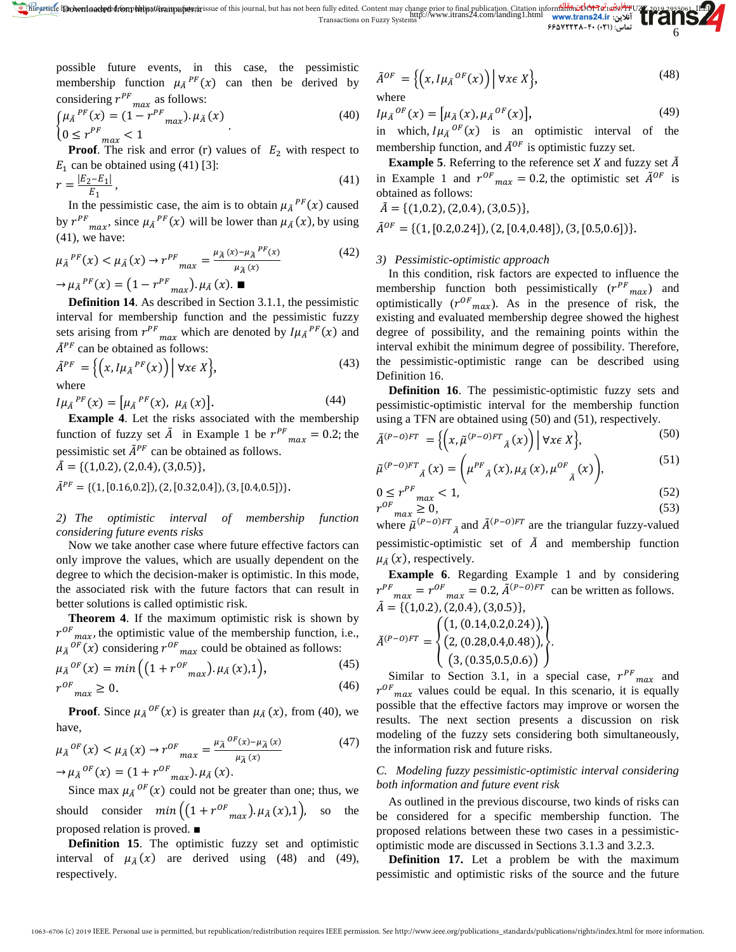possible future events, in this case, the pessimistic membership function  $\mu_{\tilde{A}}^{PF}(x)$  can then be derived by considering  $r^{PF}$ <sub>max</sub> as follows:

$$
\begin{cases} \mu_{\tilde{A}}^{PF}(x) = (1 - r^{PF}_{max}) \cdot \mu_{\tilde{A}}(x) \\ 0 \le r^{PF}_{max} < 1 \end{cases}
$$
 (40)

**Proof.** The risk and error (r) values of  $E_2$  with respect to  $E_1$  can be obtained using (41) [3]:

$$
r = \frac{|E_2 - E_1|}{E_1},
$$
\n(41)

In the pessimistic case, the aim is to obtain  $\mu_{\tilde{A}}^{PF}(x)$  caused by  $r^{PF}$ <sub>max</sub>, since  $\mu_{\tilde{A}}^{PF}(x)$  will be lower than  $\mu_{\tilde{A}}(x)$ , by using (41), we have:

$$
\mu_{\tilde{A}}^{PF}(x) < \mu_{\tilde{A}}(x) \to r^{PF}{}_{max} = \frac{\mu_{\tilde{A}}(x) - \mu_{\tilde{A}}^{PF}(x)}{\mu_{\tilde{A}}(x)} \quad (42)
$$
\n
$$
\to \mu_{\tilde{A}}^{PF}(x) = \left(1 - r^{PF}{}_{max}\right) \cdot \mu_{\tilde{A}}(x). \blacksquare
$$

**Definition 14**. As described in Section 3.1.1, the pessimistic interval for membership function and the pessimistic fuzzy sets arising from  $r^{PF}$ <sub>max</sub> which are denoted by  $I\mu_{\tilde{A}}^{PF}(x)$  and  $\tilde{A}^{PF}$  can be obtained as follows:

$$
\tilde{A}^{PF} = \left\{ \left( x, I\mu_{\tilde{A}}{}^{PF}(x) \right) \middle| \forall x \in X \right\},\tag{43}
$$

where

 $I\mu_{\tilde{A}}^{PF}(x) = [\mu_{\tilde{A}}^{PF}(x), \ \mu_{\tilde{A}}(x)].$  (44)

**Example 4**. Let the risks associated with the membership function of fuzzy set  $\tilde{A}$  in Example 1 be  $r^{PF}$ <sub>max</sub> = 0.2; the pessimistic set  $\tilde{A}^{PF}$  can be obtained as follows.

$$
\tilde{A} = \{ (1,0.2), (2,0.4), (3,0.5) \},
$$
  
\n
$$
\tilde{A}^{PF} = \{ (1, [0.16, 0.2]), (2, [0.32, 0.4]), (3, [0.4, 0.5]) \}.
$$

*2) The optimistic interval of membership function considering future events risks*

Now we take another case where future effective factors can only improve the values, which are usually dependent on the degree to which the decision-maker is optimistic. In this mode, the associated risk with the future factors that can result in better solutions is called optimistic risk.

**Theorem 4**. If the maximum optimistic risk is shown by  $r^{OF}$ <sub>max</sub>, the optimistic value of the membership function, i.e.,  $\mu_{\tilde{A}}^{OF}(x)$  considering  $r^{OF}$ <sub>max</sub> could be obtained as follows:

$$
\mu_{\tilde{A}}{}^{OF}(x) = \min\left( \left( 1 + r^{OF}{}_{max} \right) . \mu_{\tilde{A}}(x), 1 \right),\tag{45}
$$

$$
r^{OF}{}_{max} \ge 0. \tag{46}
$$

**Proof**. Since  $\mu_{\tilde{A}}^{OF}(x)$  is greater than  $\mu_{\tilde{A}}(x)$ , from (40), we have,

$$
\mu_{\tilde{A}}^{OF}(x) < \mu_{\tilde{A}}(x) \to r^{OF}{}_{max} = \frac{\mu_{\tilde{A}}^{OF}(x) - \mu_{\tilde{A}}(x)}{\mu_{\tilde{A}}(x)} \tag{47}
$$
\n
$$
\to \mu_{\tilde{A}}^{OF}(x) = (1 + r^{OF}{}_{max}) \cdot \mu_{\tilde{A}}(x).
$$

Since max  $\mu_{\tilde{A}}^{OF}(x)$  could not be greater than one; thus, we should consider  $min((1 + r^{OF}{}_{max}) \cdot \mu_A(x), 1)$ , so the proposed relation is proved. ■

**Definition 15**. The optimistic fuzzy set and optimistic interval of  $\mu_{\tilde{A}}(x)$  are derived using (48) and (49), respectively.

$$
\tilde{A}^{OF} = \left\{ \left( x, I\mu_{\tilde{A}}^{OF}(x) \right) \middle| \forall x \in X \right\},\tag{48}
$$
\nwhere

$$
I\mu_{\tilde{A}}{}^{OF}(x) = \left[\mu_{\tilde{A}}(x), \mu_{\tilde{A}}{}^{OF}(x)\right],\tag{49}
$$

in which,  $I\mu_{\tilde{A}}^{OF}(x)$  is an optimistic interval of the membership function, and  $\tilde{A}^{OF}$  is optimistic fuzzy set.

**Example 5**. Referring to the reference set  $X$  and fuzzy set  $\tilde{A}$ in Example 1 and  $r^{OF}$  max = 0.2, the optimistic set  $\tilde{A}^{OF}$  is obtained as follows:

 $\tilde{A} = \{(1,0.2), (2,0.4), (3,0.5)\},\$ 

 $\tilde{A}^{OF} = \{(1, [0.2, 0.24]), (2, [0.4, 0.48]), (3, [0.5, 0.6])\}.$ 

### *3) Pessimistic-optimistic approach*

In this condition, risk factors are expected to influence the membership function both pessimistically  $(r^{PF}$ <sub>max</sub>) and optimistically  $(r^{OF}{}_{max})$ . As in the presence of risk, the existing and evaluated membership degree showed the highest degree of possibility, and the remaining points within the interval exhibit the minimum degree of possibility. Therefore, the pessimistic-optimistic range can be described using Definition 16.

**Definition 16**. The pessimistic-optimistic fuzzy sets and pessimistic-optimistic interval for the membership function using a TFN are obtained using (50) and (51), respectively.

$$
\tilde{A}^{(P-O)FT} = \left\{ \left( x, \tilde{\mu}^{(P-O)FT}{}_{\tilde{A}}(x) \right) \middle| \forall x \in X \right\},\tag{50}
$$

$$
\tilde{\mu}^{(P-O)FT}_{\tilde{A}}(x) = \left(\mu^{PF}_{\tilde{A}}(x), \mu_A(x), \mu^{OF}_{\tilde{A}}(x)\right),\tag{51}
$$

$$
0 \le r^{PF} \max_{\max} < 1,
$$
\n
$$
r^{OF} \ge 0,
$$
\n
$$
(53)
$$

where  $\tilde{\mu}^{(P-O)FT}_{\tilde{A}}$  and  $\tilde{A}^{(P-O)FT}$  are the triangular fuzzy-valued pessimistic-optimistic set of  $\tilde{A}$  and membership function  $\mu_{\tilde{A}}(x)$ , respectively.

**Example 6**. Regarding Example 1 and by considering  $F_{max} = r^{OF}$   $_{max} = 0.2$ ,  $\tilde{A}^{(P-O)FT}$  can be written as follows.  $\tilde{A} = \{(1,0.2), (2,0.4), (3,0.5)\},\$ 

$$
\tilde{A}^{(P-O)FT} = \begin{cases} (1, (0.14, 0.2, 0.24)), \\ (2, (0.28, 0.4, 0.48)), \\ (3, (0.35, 0.5, 0.6)) \end{cases}.
$$

Similar to Section 3.1, in a special case,  $r^{PF}$ <sub>max</sub> and  $r^{OF}$ <sub>max</sub> values could be equal. In this scenario, it is equally possible that the effective factors may improve or worsen the results. The next section presents a discussion on risk modeling of the fuzzy sets considering both simultaneously, the information risk and future risks.

# *C. Modeling fuzzy pessimistic-optimistic interval considering both information and future event risk*

As outlined in the previous discourse, two kinds of risks can be considered for a specific membership function. The proposed relations between these two cases in a pessimisticoptimistic mode are discussed in Sections 3.1.3 and 3.2.3.

**Definition 17.** Let a problem be with the maximum pessimistic and optimistic risks of the source and the future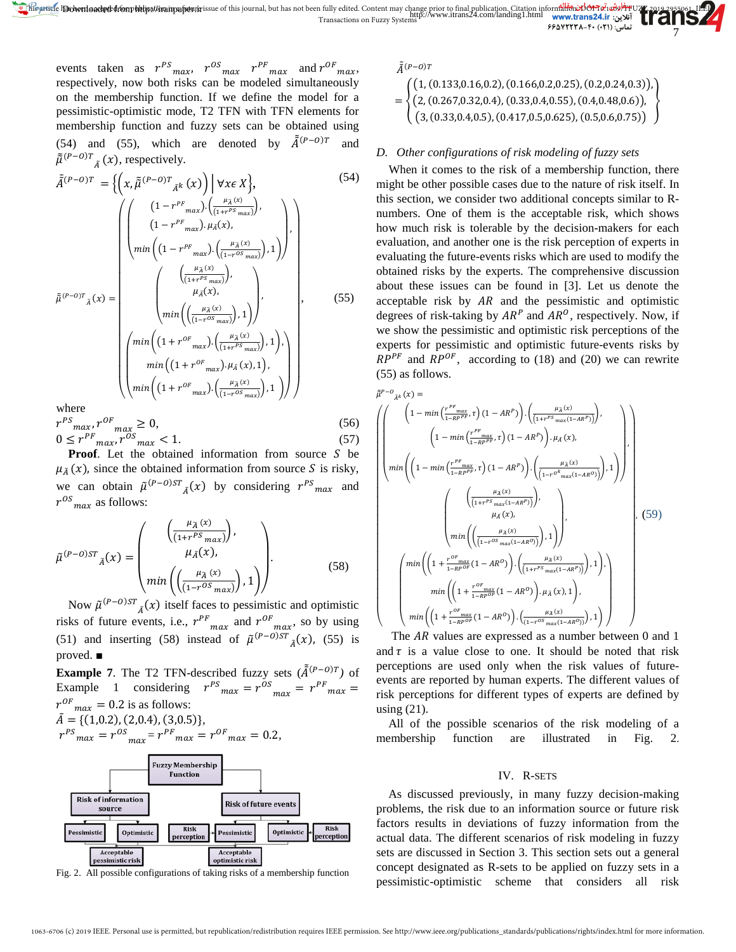events taken as  $r^{PS}_{max}$ ,  $r^{OS}_{max}$   $r^{PF}_{max}$  and  $r^{OF}_{max}$ , respectively, now both risks can be modeled simultaneously on the membership function. If we define the model for a pessimistic-optimistic mode, T2 TFN with TFN elements for membership function and fuzzy sets can be obtained using (54) and (55), which are denoted by  $\tilde{A}^{(P-O)T}$  and  $\tilde{\tilde{\mu}}^{(P-O)T}$   $\tilde{A}$   $(x)$ , respectively.

$$
\tilde{A}^{(P-O)T} = \left\{ \left( x, \tilde{\mu}^{(P-O)T} {}_{\tilde{A}^{k}}(x) \right) \middle| \forall x \in X \right\},
$$
\n
$$
\tilde{\mu}^{(P-O)T} = \left\{ \left( x, \tilde{\mu}^{(P-O)T} {}_{\tilde{A}^{k}}(x) \right) \middle| \forall x \in X \right\},
$$
\n
$$
\tilde{\mu}^{(P-O)T} {}_{\tilde{A}}(x) = \left( \left( 1 - r^{PF} {}_{max} \right) \cdot \left( \frac{\mu_{\tilde{A}}(x)}{(1 - r^{PS} {}_{max})} \right), 1 \right) \right\},
$$
\n
$$
\tilde{\mu}^{(P-O)T} {}_{\tilde{A}}(x) = \left( \left( \frac{\mu_{\tilde{A}}(x)}{(1 + r^{PS} {}_{max})} \right),
$$
\n
$$
\tilde{\mu}^{(P-O)T} {}_{\tilde{A}}(x) = \left( \left( \frac{\mu_{\tilde{A}}(x)}{(1 + r^{OS} {}_{max})} \right), 1 \right) \right),
$$
\n
$$
\min \left( \left( 1 + r^{OF} {}_{max} \right) \cdot \left( \frac{\mu_{\tilde{A}}(x)}{(1 + r^{PS} {}_{max})} \right), 1 \right),
$$
\n
$$
\min \left( (1 + r^{OF} {}_{max}) \cdot \left( \frac{\mu_{\tilde{A}}(x)}{(1 + r^{OS} {}_{max})} \right), 1 \right) \right)
$$
\nwhere\n
$$
\left\{ \left( \frac{\mu_{\tilde{A}}(x)}{(1 + r^{OS} {}_{max})} \cdot \left( \frac{\mu_{\tilde{A}}(x)}{(1 - r^{OS} {}_{max})} \right), 1 \right) \right\}
$$
\nwhere

where

$$
r^{PS} \max_{\max} r^{OF} \max_{\max} \ge 0,
$$
\n(56)

$$
0 \le r^{PF} \max_{\max} r^{OS} \le 1. \tag{57}
$$

**Proof.** Let the obtained information from source  $S$  be  $\mu_{\tilde{A}}(x)$ , since the obtained information from source S is risky, we can obtain  $\tilde{\mu}^{(P-O)ST}$   $_{\tilde{A}}(x)$  by considering  $r^{PS}$  max and  $r^{OS}$ <sub>max</sub> as follows:

$$
\tilde{\mu}^{(P-O)ST}{}_{\tilde{A}}(x) = \begin{pmatrix} \left(\frac{\mu_{\tilde{A}}(x)}{(1+r^{PS} \max)}\right), \\ \mu_{\tilde{A}}(x), \\ \min\left(\left(\frac{\mu_{\tilde{A}}(x)}{(1+r^{OS} \max)}\right), 1\right) \end{pmatrix}.
$$
\n(58)

Now  $\tilde{\mu}^{(P-O)ST}$ <sub> $\tilde{A}$ </sub> $(x)$  itself faces to pessimistic and optimistic risks of future events, i.e.,  $r^{PF}$ <sub>max</sub> and  $r^{OF}$ <sub>max</sub>, so by using (51) and inserting (58) instead of  $\tilde{\mu}^{(P-O)ST}$   $_{\tilde{A}}(x)$ , (55) is proved. ■

**Example 7.** The T2 TFN-described fuzzy sets  $(\tilde{A}^{(P-O)T})$  of Example 1 considering  $r^{PS}$   $_{max} = r^{OS}$   $_{max} = r^{PF}$   $_{max} =$  $r^{OF}$ <sub>max</sub> = 0.2 is as follows:  $\tilde{A} = \{(1,0.2), (2,0.4), (3,0.5)\}$ 

$$
r^{PS}_{max} = r^{OS}_{max} = r^{PF}_{max} = r^{OF}_{max} = 0.2,
$$



Fig. 2. All possible configurations of taking risks of a membership function

 $\tilde{A}^{(P-O)}$ 

$$
= \begin{cases} (1, (0.133, 0.16, 0.2), (0.166, 0.2, 0.25), (0.2, 0.24, 0.3)), \\ (2, (0.267, 0.32, 0.4), (0.33, 0.4, 0.55), (0.4, 0.48, 0.6)), \\ (3, (0.33, 0.4, 0.5), (0.417, 0.5, 0.625), (0.5, 0.6, 0.75)) \end{cases}
$$

# *D. Other configurations of risk modeling of fuzzy sets*

When it comes to the risk of a membership function, there might be other possible cases due to the nature of risk itself. In this section, we consider two additional concepts similar to Rnumbers. One of them is the acceptable risk, which shows how much risk is tolerable by the decision-makers for each evaluation, and another one is the risk perception of experts in evaluating the future-events risks which are used to modify the obtained risks by the experts. The comprehensive discussion about these issues can be found in [3]. Let us denote the acceptable risk by  $AR$  and the pessimistic and optimistic degrees of risk-taking by  $AR^P$  and  $AR^O$ , respectively. Now, if we show the pessimistic and optimistic risk perceptions of the experts for pessimistic and optimistic future-events risks by  $RP^{PF}$  and  $RP^{OF}$ , according to (18) and (20) we can rewrite (55) as follows.

$$
\hat{\mu}^{P-O}{}_{\hat{A}^{k}}(x) =
$$
\n
$$
\left(\begin{pmatrix}\n(1 - \min\left(\frac{r^{PF}{}_{max}}{1 - R P^{PF}}, \tau\right)(1 - AR^{P})\right) \cdot \left(\frac{\mu_{\tilde{A}}(x)}{(1 + r^{PS}{}_{max}(1 - AR^{P}))}\right), \\
(1 - \min\left(\frac{r^{PF}{}_{max}}{1 - R P^{PF}}, \tau\right)(1 - AR^{P})\right) \cdot \mu_{\tilde{A}}(x), \\
\min\left(\left(1 - \min\left(\frac{r^{PF}{}_{max}}{1 - R P^{PF}}, \tau\right)(1 - AR^{P})\right) \cdot \left(\frac{\mu_{\tilde{A}}(x)}{(1 - r^{O^{k}}{}_{max}(1 - AR^{O}))}\right), 1\right)\right) \\
\vdots \\
\min\left(\frac{\mu_{\tilde{A}}(x)}{(1 + r^{PS}{}_{max}(1 - AR^{P}))}\right), \\
\min\left(\left(\frac{\mu_{\tilde{A}}(x)}{(1 - r^{OS}{}_{max}(1 - AR^{O}))}, 1\right)\right), \\
\min\left(\left(1 + \frac{r^{OF}{}_{max}}{1 - R P^{OF}}(1 - AR^{O})\right) \cdot \left(\frac{\mu_{\tilde{A}}(x)}{(1 + r^{PS}{}_{max}(1 - AR^{P}))}\right), 1\right), \\
\min\left(\left(1 + \frac{r^{OF}{}_{max}}{1 - R P^{OF}}(1 - AR^{O})\right) \cdot \mu_{\tilde{A}}(x), 1\right), \\
\min\left(\left(1 + \frac{r^{OP}{}_{max}}{1 - R P^{OF}}(1 - AR^{O})\right) \cdot \left(\frac{\mu_{\tilde{A}}(x)}{(1 - r^{OS}{}_{max}(1 - AR^{O}))}\right), 1\right)\right)\n\end{pmatrix}
$$

The AR values are expressed as a number between 0 and 1 and  $\tau$  is a value close to one. It should be noted that risk perceptions are used only when the risk values of futureevents are reported by human experts. The different values of risk perceptions for different types of experts are defined by using  $(21)$ .

All of the possible scenarios of the risk modeling of a  $\sum_{max}^{\infty} = r^{\alpha}$  max =  $r^{\alpha}$  max = 0.2, membership function are illustrated in Fig. 2.

#### IV. R-SETS

As discussed previously, in many fuzzy decision-making problems, the risk due to an information source or future risk factors results in deviations of fuzzy information from the actual data. The different scenarios of risk modeling in fuzzy sets are discussed in Section 3. This section sets out a general concept designated as R-sets to be applied on fuzzy sets in a pessimistic-optimistic scheme that considers all risk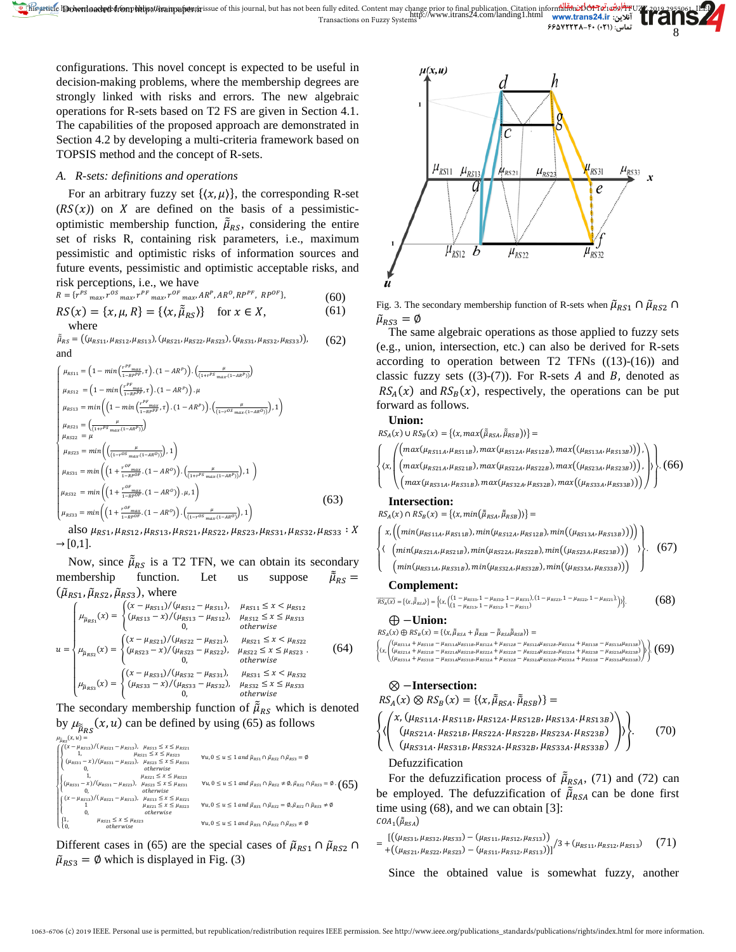configurations. This novel concept is expected to be useful in decision-making problems, where the membership degrees are strongly linked with risks and errors. The new algebraic operations for R-sets based on T2 FS are given in Section 4.1. The capabilities of the proposed approach are demonstrated in Section 4.2 by developing a multi-criteria framework based on TOPSIS method and the concept of R-sets.

# *A. R-sets: definitions and operations*

For an arbitrary fuzzy set  $\{\langle x, \mu \rangle\}$ , the corresponding R-set  $(RS(x))$  on X are defined on the basis of a pessimisticoptimistic membership function,  $\tilde{\mu}_{RS}$ , considering the entire set of risks R, containing risk parameters, i.e., maximum pessimistic and optimistic risks of information sources and future events, pessimistic and optimistic acceptable risks, and risk perceptions, i.e., we have

$$
R = \{r^{PS} \max_{max}, r^{OS} \max_{max} r^{PF} \max_{max}, r^{OF} \max_{max} AR^P, AR^O, RP^{PF}, RP^{OF}\},
$$
(60)

$$
RS(x) = \{x, \mu, R\} = \{\langle x, \tilde{\mu}_{RS} \rangle\} \text{ for } x \in X,
$$
 (61)  
where

 $\tilde{\mu}_{RS} = ((\mu_{RS11}, \mu_{RS12}, \mu_{RS13}), (\mu_{RS21}, \mu_{RS22}, \mu_{RS23}), (\mu_{RS31}, \mu_{RS32}, \mu_{RS33})),$ and (62)

$$
\begin{cases}\n\mu_{RS11} = \left(1 - \min\left(\frac{r^{PF}_{1 \text{ max}}}{1 - n^{PF}}, \tau\right) \cdot (1 - AR^P)\right) \cdot \left(\frac{\mu}{(1 + r^{PF}_{1 \text{ max}} (1 - AR^P))}\right) \\
\mu_{RS12} = \left(1 - \min\left(\frac{r^{PF}_{1 \text{ max}}}{1 - R^{PF}}, \tau\right) \cdot (1 - AR^P)\right) \cdot \mu \\
\mu_{RS13} = \min\left(\left(1 - \min\left(\frac{r^{PF}_{1 \text{ max}}}{1 - R^{PF}}, \tau\right) \cdot (1 - AR^P)\right) \cdot \left(\frac{\mu}{(1 - r^{OS}_{1 \text{ max}} (1 - AR^O))}\right), 1\right) \\
\mu_{RS21} = \left(\frac{\mu}{(1 + r^{PS}_{1 \text{ max}} (1 - AR^P))}\right) \\
\mu_{RS22} = \mu \\
\mu_{RS23} = \min\left(\left(\frac{\mu}{(1 - r^{OS}_{1 \text{ max}} (1 - AR^O))}\right), 1\right) \\
\mu_{RS31} = \min\left(\left(1 + \frac{r^{OS}_{1 \text{ max}}}{1 - RP^{OS}} \cdot (1 - AR^O)\right) \cdot \left(\frac{\mu}{(1 + r^{PS}_{1 \text{ max}} (1 - AR^P))}\right), 1\right) \\
\mu_{RS32} = \min\left(\left(1 + \frac{r^{OS}_{1 \text{ max}}}{1 - RP^{OS}} \cdot (1 - AR^O)\right) \cdot \mu, 1\right) \\
\mu_{RS33} = \min\left(\left(1 + \frac{r^{OS}_{1 \text{ max}}}{1 - R^{POS}} \cdot (1 - AR^O)\right) \cdot \left(\frac{\mu}{(1 - r^{OS}_{1 \text{ max}} (1 - AR^O))}\right), 1\right)\n\end{cases}
$$
\n(63)

also  $\mu_{RS1}, \mu_{RS12}, \mu_{RS13}, \mu_{RS21}, \mu_{RS22}, \mu_{RS23}, \mu_{RS31}, \mu_{RS32}, \mu_{RS33} : X$  $\rightarrow$  [0,1].

Now, since  $\tilde{\mu}_{RS}$  is a T2 TFN, we can obtain its secondary membership function. Let us suppose  $\tilde{\tilde{\mu}}_{RS} =$  $(\tilde{\mu}_{RS1}, \tilde{\mu}_{RS2}, \tilde{\mu}_{RS3})$ , where

$$
u = \begin{cases} \n\mu_{\mu_{RS1}}(x) = \begin{cases} \n(x - \mu_{RS11}) / (\mu_{RS12} - \mu_{RS11}), & \mu_{RS11} \leq x < \mu_{RS12} \\
(\mu_{RS13} - x) / (\mu_{RS13} - \mu_{RS12}), & \mu_{RS12} \leq x \leq \mu_{RS13} \\
0, & \text{otherwise}\n\end{cases} \\
u = \begin{cases} \n(x - \mu_{RS21}) / (\mu_{RS22} - \mu_{RS21}), & \mu_{RS21} \leq x < \mu_{RS22} \\
(\mu_{RS23} - x) / (\mu_{RS22} - \mu_{RS22}), & \mu_{RS22} \leq x \leq \mu_{RS23} \\
0, & \text{otherwise}\n\end{cases} \\
\mu_{\mu_{RS3}}(x) = \begin{cases} \n(x - \mu_{RS31}) / (\mu_{RS32} - \mu_{RS31}), & \mu_{RS31} \leq x < \mu_{RS32} \\
(\mu_{RS33} - x) / (\mu_{RS33} - \mu_{RS32}), & \mu_{RS32} \leq x \leq \mu_{RS33} \\
0, & \text{otherwise}\n\end{cases} \tag{64}
$$

The secondary membership function of  $\tilde{\mu}_{RS}$  which is denoted by  $\mu_{\tilde{u}_{\text{BS}}} (x, u)$  can be defined by using (65) as follows

$$
\mu_{\text{flag}}(x, u) = \int_{\left(\frac{1}{4}x_{\text{MRI}}\right)/(\mu_{\text{RS1}} - \mu_{\text{RS13}}), \quad \mu_{\text{RS1}} \le x \le \mu_{\text{RS23}}}{\mu_{\text{RS21}} + x \le \mu_{\text{RS23}}}, \quad \mu_{\text{RS1}} \le x \le \mu_{\text{RS23}} \quad \forall u, 0 \le u \le 1 \text{ and } \bar{\mu}_{\text{RS1}} \cap \bar{\mu}_{\text{RS2}} \cap \bar{\mu}_{\text{RS3}} = \emptyset
$$
\n
$$
\begin{cases}\n\left(\frac{(x - \mu_{\text{RS11}} - x)}{h_{\text{RS1}} + \mu_{\text{RS23}}}, \quad \mu_{\text{RS23}} \le x \le \mu_{\text{RS23}} & \forall u, 0 \le u \le 1 \text{ and } \bar{\mu}_{\text{RS1}} \cap \bar{\mu}_{\text{RS2}} \cap \bar{\mu}_{\text{RS2}} = \emptyset \\
\mu_{\text{RS1}} \le x \le \mu_{\text{RS23}} & \forall u, 0 \le u \le 1 \text{ and } \bar{\mu}_{\text{RS1}} \cap \bar{\mu}_{\text{RS2}} \ne \emptyset, \bar{\mu}_{\text{RS2}} \ne \emptyset, \bar{\mu}_{\text{RS3}} = \emptyset \cdot \left(\mathbf{65}\right) \\
\left(\begin{matrix}\n(x - \mu_{\text{RS13}})/(\mu_{\text{RS21}} - \mu_{\text{RS13}}), \quad \mu_{\text{RS21}} \le x \le \mu_{\text{RS21}} \\
0, \quad \mu_{\text{RS21}} \le x \le \mu_{\text{RS23}} \\
0, \quad \mu_{\text{RS21}} \le x \le \mu_{\text{RS23}} & \forall u, 0 \le u \le 1 \text{ and } \bar{\mu}_{\text{RS1}} \cap \bar{\mu}_{\text{RS2}} = \emptyset, \bar{\mu}_{\text{RS2}} \cap \bar{\mu}_{\text{RS3}} \ne \emptyset \\
\mu_{\text{RS2}} \le x \le \mu_{\text{RS23}} & \forall u, 0 \le u \le 1 \text{ and } \bar{\mu}_{\text{RS1}} \cap \bar{\mu}_{\text{RS2}} \ne \emptyset\n\end{cases}
$$

Different cases in (65) are the special cases of  $\tilde{\mu}_{RS1} \cap \tilde{\mu}_{RS2} \cap$  $\tilde{\mu}_{RS3} = \emptyset$  which is displayed in Fig. (3)



8

Fig. 3. The secondary membership function of R-sets when  $\tilde{\mu}_{RS1} \cap \tilde{\mu}_{RS2} \cap$  $\tilde{\mu}_{RS3} = \emptyset$ 

The same algebraic operations as those applied to fuzzy sets (e.g., union, intersection, etc.) can also be derived for R-sets according to operation between  $T2$  TFNs  $((13)-(16))$  and classic fuzzy sets  $((3)-(7))$ . For R-sets *A* and *B*, denoted as  $RS_A(x)$  and  $RS_B(x)$ , respectively, the operations can be put forward as follows.

# **Union:**

 $RS_A(x) \cup RS_B(x) = \{ \langle x, max(\tilde{\mu}_{RSA}, \tilde{\mu}_{RSB}) \rangle \} =$  $\overline{\phantom{a}}$  $\overline{a}$  $\mathsf I$  $\mathsf I$  $\mathsf I$  $\langle x,$  $\lambda$  $\left\{ \left( \frac{max(\mu_{RS21A}, \mu_{RS21B}), max(\mu_{RS22A}, \mu_{RS22B}), max((\mu_{RS23A}, \mu_{RS23B})) \right), \right\}$  $\left(\max(\mu_{RS11A}, \mu_{RS11B}), \max(\mu_{RS12A}, \mu_{RS12B}), \max((\mu_{RS13A}, \mu_{RS13B}))\right),$  $\left( max(\mu_{RS31A}, \mu_{RS31B}), max(\mu_{RS32A}, \mu_{RS32B}), max((\mu_{RS33A}, \mu_{RS33B})) \right)$ ⎭  $\overline{ }$  $\parallel$ . (66)

# **Intersection:**

 $RS_A(x) \cap RS_B(x) = \{ \langle x, min(\tilde{\mu}_{RSA}, \tilde{\mu}_{RSB}) \rangle \} =$ 

$$
\left\{\n x, \left(\n \left(\n \min(\mu_{RS11A}, \mu_{RS11B}), \min(\mu_{RS12A}, \mu_{RS12B}), \min(\mu_{RS13A}, \mu_{RS13B}))\n \right)\n \right\}\n \left\{\n \left(\n \min(\mu_{RS21A}, \mu_{RS21B}), \min(\mu_{RS22A}, \mu_{RS2B}, \mu_{RS2BB}))\n \right)\n \right\}\n \right\}.
$$
\n(67)

 $\left( min(\mu_{RS31A}, \mu_{RS31B}), min(\mu_{RS32A}, \mu_{RS32B}), min((\mu_{RS33A}, \mu_{RS33B})) \right)$ ⎭  $\overline{a}$  $\mathbf{I}$ 

#### **Complement:**

 $\overline{\phantom{a}}$  $\overline{a}$  $\mathbf{I}$ 

$$
\overline{\text{RS}_A(x)} = \{ (x, \bar{\tilde{\beta}}_{RSA}) \} = \left\{ (x, \begin{pmatrix} (1 - \mu_{RS33}, 1 - \mu_{RS32}, 1 - \mu_{RS31}), (1 - \mu_{RS23}, 1 - \mu_{RS22}, 1 - \mu_{RS21}) \\ (1 - \mu_{RS13}, 1 - \mu_{RS12}, 1 - \mu_{RS11}) & (68) \end{pmatrix} \right\}.
$$

⊕ −**Union:**

 $RS_A(x) \oplus RS_B(x) = \{ \langle x, \tilde{\mu}_{RSA} + \tilde{\mu}_{RSB} - \tilde{\mu}_{RSA} \tilde{\mu}_{RSB} \rangle \} =$ 

- $\left\{ \left\langle x, \right| \right\}$ (µ<sub>RS11A</sub> + µ<sub>RS11B</sub> − µ<sub>RS11A</sub>µ<sub>RS11B</sub>,µ<sub>RS12A</sub> + µ<sub>RS12B</sub> − µ<sub>RS12A</sub>µ<sub>RS13B</sub>,µ<sub>RS13B</sub> − µ<sub>RS13A</sub>µ<sub>RS13B</sub>)<br>(µ<sub>RS21A</sub> + µ<sub>RS21B</sub> − µ<sub>RS21A</sub>µ<sub>RS21B</sub>,µ<sub>RS22A</sub> + µ<sub>RS22B</sub> − µ<sub>RS22A</sub>µ<sub>RS23B</sub>,µ<sub>RS23B</sub> + µ<sub>RS23B</sub> − µ<sub>RS23A</sub>µ<sub>RS</sub>  $(69)$ 
	- $( 31A + \mu_{RS31B} \mu_{RS31A} \mu_{RS31B}, \mu_{RS32A} + \mu_{RS32B} \mu_{RS32A} \mu_{RS32B}, \mu_{RS33A} + \mu_{RS33B} \mu_{RS33A} \mu_{RS3B})$

# ⊗ −**Intersection:**

$$
RS_A(x) \otimes RS_B(x) = \{ \langle x, \tilde{\mu}_{RSA}, \tilde{\mu}_{RSB} \rangle \} =
$$
  

$$
\begin{cases} \langle x, (\mu_{RS11A}, \mu_{RS11B}, \mu_{RS12A}, \mu_{RS12B}, \mu_{RS13A}, \mu_{RS13B}) \\ \langle (\mu_{RS21A}, \mu_{RS21B}, \mu_{RS22A}, \mu_{RS22B}, \mu_{RS23A}, \mu_{RS23B}) \rangle \end{cases}
$$

$$
(\mu_{RS21A}.\mu_{RS21B}.\mu_{RS22A}.\mu_{RS22B}.\mu_{RS23A}.\mu_{RS23B}) \quad \rangle \tag{70}
$$
  

$$
(\mu_{RS31A}.\mu_{RS31B}.\mu_{RS32A}.\mu_{RS32B}.\mu_{RS33A}.\mu_{RS33B}) \quad \rangle
$$

Defuzzification

For the defuzzification process of  $\tilde{\mu}_{RSA}$ , (71) and (72) can be employed. The defuzzification of  $\tilde{\mu}_{RSA}$  can be done first time using (68), and we can obtain [3]:  $\textit{COA}_1(\tilde{\mu}_{\textit{RSA}})$ 

$$
= \frac{[((\mu_{RS31}, \mu_{RS32}, \mu_{RS33}) - (\mu_{RS11}, \mu_{RS12}, \mu_{RS13}))]}{+((\mu_{RS21}, \mu_{RS22}, \mu_{RS23}) - (\mu_{RS11}, \mu_{RS12}, \mu_{RS13}))} / 3 + (\mu_{RS11}, \mu_{RS12}, \mu_{RS13})
$$
(71)

Since the obtained value is somewhat fuzzy, another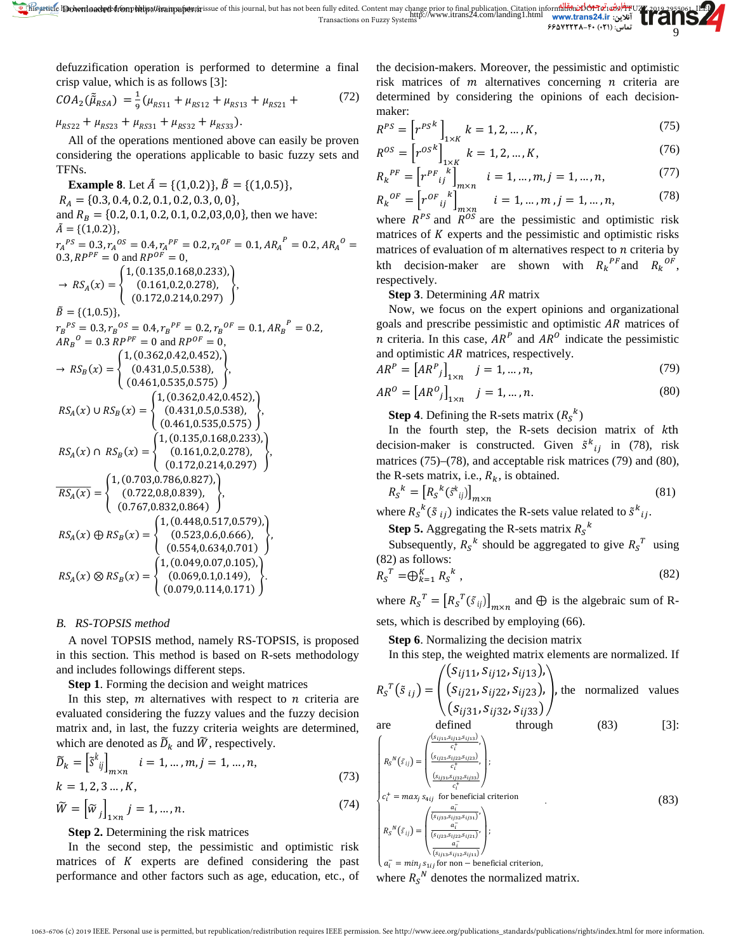this article has been fully edited. Content may change prior to final publication. Citation inform<mark>alion: DOI 16:</mark><br>آنلاین: http://www.itrans24.com/landing1.html www.tran**s24.ir**<br>تعالین: (۲۱) ۴۴۵۷۲۲۳۸–۴۰ Do**wnloaded from hitipation in Fussion in Funder** (Detection in the magnetic content may change prior to final publication. Citation in Transactions on Fuzzy Systems<br>Transactions on Fuzzy Systems

defuzzification operation is performed to determine a final crisp value, which is as follows [3]:

$$
COA_2(\tilde{\mu}_{RSA}) = \frac{1}{9}(\mu_{RS11} + \mu_{RS12} + \mu_{RS13} + \mu_{RS21} + \tag{72}
$$

 $\mu_{RS22} + \mu_{RS23} + \mu_{RS31} + \mu_{RS32} + \mu_{RS33}).$ 

All of the operations mentioned above can easily be proven considering the operations applicable to basic fuzzy sets and TFNs.

**Example 8**. Let  $\tilde{A} = \{(1,0.2)\}, \tilde{B} = \{(1,0.5)\},\$  = {0.3, 0.4, 0.2, 0.1, 0.2, 0.3, 0, 0}*,* and  $R_B = \{0.2, 0.1, 0.2, 0.1, 0.2, 0.3, 0.0\}$ , then we have:  $\tilde{A} = \{(1,0.2)\},\$  $\tau_A^{PS} = 0.3, \tau_A^{OS} = 0.4, \tau_A^{PF} = 0.2, \tau_A^{OF} = 0.1, AR_A^{F} = 0.2, AR_A^{O} = 0.2$ 0.3,  $RP^{PF} = 0$  and  $RP^{OF} = 0$ ,  $\rightarrow$   $RS_A(x) = \{$ 1, (0.135,0.168,0.233), (0.161,0.2,0.278), (0.172,0.214,0.297)  $\}$ ,  $\tilde{B} = \{(1,0.5)\},\$  $r_B^{PS} = 0.3, r_B^{OS} = 0.4, r_B^{PF} = 0.2, r_B^{OF} = 0.1, AR_B^{F} = 0.2,$  $AR_B{}^0 = 0.3$   $RP^{PF} = 0$  and  $RP^{OF} = 0$ ,  $\rightarrow$   $RS_B(x) = \{$ 1, (0.362,0.42,0.452), (0.431,0.5,0.538), (0.461,0.535,0.575)  $\left\}$ ,  $RS_A(x) \cup RS_B(x) = \{$ 1, (0.362,0.42,0.452), (0.431,0.5,0.538), (0.461,0.535,0.575)  $\}$ ,  $RS_A(x) \cap RS_B(x) = \{$ 1, (0.135,0.168,0.233), (0.161,0.2,0.278), (0.172,0.214,0.297)  $\}$ ,  $RS_A(x) = \{$ 1, (0.703,0.786,0.827), (0.722,0.8,0.839), (0.767,0.832,0.864)  $\left\}$ ,  $RS_A(x) \oplus RS_B(x) = \{$ 1, (0.448,0.517,0.579), (0.523,0.6,0.666), (0.554,0.634,0.701) �,  $RS_A(x) \otimes RS_B(x) = \{$ 1, (0.049,0.07,0.105), (0.069,0.1,0.149), (0.079,0.114,0.171)  $\left\{ \cdot \right\}$ 

### *B. RS-TOPSIS method*

A novel TOPSIS method, namely RS-TOPSIS, is proposed in this section. This method is based on R-sets methodology and includes followings different steps.

**Step 1**. Forming the decision and weight matrices

In this step,  $m$  alternatives with respect to  $n$  criteria are evaluated considering the fuzzy values and the fuzzy decision matrix and, in last, the fuzzy criteria weights are determined, which are denoted as  $\widetilde{D}_k$  and  $\widetilde{W}$ , respectively.

$$
\widetilde{D}_k = \left[ \widetilde{S}^k_{ij} \right]_{m \times n} \quad i = 1, ..., m, j = 1, ..., n,
$$
\n
$$
k = 1, 2, 3 ..., K,
$$
\n(73)

$$
\widetilde{W} = \left[ \widetilde{w}_j \right]_{1 \times n} j = 1, \dots, n. \tag{74}
$$

# **Step 2.** Determining the risk matrices

In the second step, the pessimistic and optimistic risk matrices of  $K$  experts are defined considering the past performance and other factors such as age, education, etc., of the decision-makers. Moreover, the pessimistic and optimistic risk matrices of  $m$  alternatives concerning  $n$  criteria are determined by considering the opinions of each decisionmaker:

9

$$
R^{PS} = \left[ r^{PS^k} \right]_{1 \times K} k = 1, 2, ..., K,
$$
 (75)

$$
R^{OS} = \left[r^{OS^k}\right]_{1 \times K} \ k = 1, 2, ..., K,
$$
 (76)

$$
R_k^{PF} = \left[ r^{PF} \bigg|_{ij}^{k} \right]_{m \times n} \quad i = 1, \dots, m, j = 1, \dots, n,
$$
 (77)

$$
R_k^{OF} = \left[ r^{OF}{}_{ij}^{k} \right]_{m \times n} \qquad i = 1, \dots, m, j = 1, \dots, n,\tag{78}
$$

where  $R^{PS}$  and  $R^{OS}$  are the pessimistic and optimistic risk matrices of  $K$  experts and the pessimistic and optimistic risks matrices of evaluation of m alternatives respect to  $n$  criteria by kth decision-maker are shown with  $R_k^{P_F}$  and  $R_k^{O_F}$ , respectively.

**Step 3.** Determining AR matrix

Now, we focus on the expert opinions and organizational goals and prescribe pessimistic and optimistic  $AR$  matrices of *n* criteria. In this case,  $AR^P$  and  $AR^O$  indicate the pessimistic and optimistic  $AR$  matrices, respectively.

$$
AR^{P} = [AR^{P}{}_{j}]_{1 \times n} \quad j = 1, ..., n,
$$
 (79)

$$
AR^0 = \left[AR^0_j\right]_{1 \times n} \quad j = 1, \dots, n. \tag{80}
$$

**Step 4**. Defining the R-sets matrix  $(R_S^k)$ 

In the fourth step, the R-sets decision matrix of kth decision-maker is constructed. Given  $\tilde{s}^k_{ij}$  in (78), risk matrices (75)–(78), and acceptable risk matrices (79) and (80), the R-sets matrix, i.e.,  $R_k$ , is obtained.

$$
R_{S}^{k} = [R_{S}^{k}(\tilde{s}_{ij}^{k})]_{m \times n}
$$
\n
$$
(81)
$$

where  $R_{\mathcal{S}}^{k}(\tilde{s}_{ij})$  indicates the R-sets value related to  $\tilde{s}_{ij}^{k}$ .

**Step 5.** Aggregating the R-sets matrix  $R_S^k$ 

Subsequently,  $R_S^k$  should be aggregated to give  $R_S^T$  using (82) as follows:

$$
R_S^T = \bigoplus_{k=1}^K R_S^k \tag{82}
$$

where  $R_{S}^{T} = [R_{S}^{T}(\tilde{s}_{ij})]_{m \times n}$  and  $\oplus$  is the algebraic sum of Rsets, which is described by employing (66).

**Step 6**. Normalizing the decision matrix

In this step, the weighted matrix elements are normalized. If

$$
R_S^T(\tilde{s}_{ij}) = \begin{pmatrix} (S_{ij11}, S_{ij12}, S_{ij13}), \\ (S_{ij21}, S_{ij22}, S_{ij23}), \\ (S_{ij31}, S_{ij32}, S_{ij33}) \end{pmatrix}
$$
, the normalized values

are defined through (83) [3]:

$$
\begin{cases}\nR_{S}^{N}(\tilde{s}_{ij}) = \begin{pmatrix}\n\frac{\left(s_{ij_{11}}, s_{ij_{12}}, s_{ij_{13}}\right)}{c_{i}^{*}},\\ \n\frac{\left(s_{ij_{21}}, s_{ij_{22}}, s_{ij_{23}}\right)}{c_{i}^{*}},\\ \n\frac{\left(s_{ij_{31}}, s_{ij_{32}}, s_{ij_{33}}\right)}{c_{i}^{*}}.\n\end{pmatrix};\\
c_{i}^{+} = max_{j} s_{4ij} \text{ for beneficial criterion} \\
R_{S}^{N}(\tilde{s}_{ij}) = \begin{pmatrix}\n\frac{a_{i}^{-}}{s_{ij_{33}}, s_{ij_{32}}, s_{ij_{31}}}\\ \n\frac{a_{i}^{-}}{s_{ij_{33}}, s_{ij_{32}}, s_{ij_{31}}}\n\end{pmatrix};\\
\frac{a_{i}^{-}}{(s_{ij_{33}}, s_{ij_{32}}, s_{ij_{31}})}.\n\end{cases}
$$
\n(83)

 $\overline{\phantom{a}}$  $a_i^- = min_j s_{1ij}$  for non  $-$  beneficial criterion,

where  $R_s^N$  denotes the normalized matrix.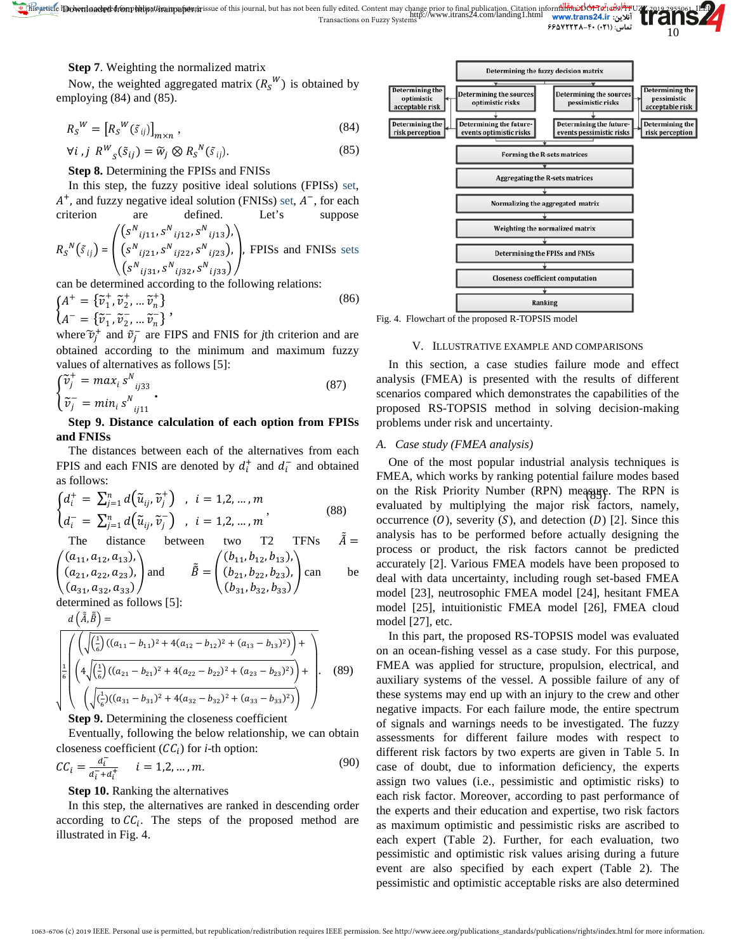

10

**Step 7**. Weighting the normalized matrix

Now, the weighted aggregated matrix  $(R_s^W)$  is obtained by employing (84) and (85).

$$
R_S^W = \left[ R_S^W(\tilde{s}_{ij}) \right]_{m \times n},\tag{84}
$$

$$
\forall i, j \ R^W_{s}(\tilde{s}_{ij}) = \tilde{w}_j \otimes R_s^N(\tilde{s}_{ij}). \tag{85}
$$

**Step 8.** Determining the FPISs and FNISs

In this step, the fuzzy positive ideal solutions (FPISs) set,  $A^+$ , and fuzzy negative ideal solution (FNISs) set,  $A^-$ , for each criterion are defined. Let's suppose

$$
R_{S}^{N}(\tilde{s}_{ij}) = \begin{pmatrix} (s^{N}{}_{ij11}, s^{N}{}_{ij12}, s^{N}{}_{ij13}), \\ (s^{N}{}_{ij21}, s^{N}{}_{ij22}, s^{N}{}_{ij23}), \\ (s^{N}{}_{ij31}, s^{N}{}_{ij32}, s^{N}{}_{ij33}) \end{pmatrix}
$$
, FPISs and FNISs sets

can be determined according to the following relations:

$$
\begin{cases}\nA^+ = \{\tilde{v}_1^+, \tilde{v}_2^+, \dots \tilde{v}_n^+\} \\
A^- = \{\tilde{v}_1^-, \tilde{v}_2^-, \dots \tilde{v}_n^-\}\n\end{cases},
$$
\n(86)

where  $\tilde{v}_j^+$  and  $\tilde{v}_j^-$  are FIPS and FNIS for *j*th criterion and are obtained according to the minimum and maximum fuzzy values of alternatives as follows [5]:

$$
\begin{cases}\n\widetilde{v}_j^+ = \max_i s^N_{ij33} \\
\widetilde{v}_j^- = \min_i s^N_{ij11}\n\end{cases} \tag{87}
$$

# **Step 9. Distance calculation of each option from FPISs and FNISs**

The distances between each of the alternatives from each FPIS and each FNIS are denoted by  $d_i^+$  and  $d_i^-$  and obtained as follows:

$$
\begin{cases}\nd_i^+ = \sum_{j=1}^n d\big(\tilde{u}_{ij}, \tilde{v}_j^+\big) , i = 1, 2, \dots, m \\
d_i^- = \sum_{j=1}^n d\big(\tilde{u}_{ij}, \tilde{v}_j^-\big) , i = 1, 2, \dots, m\n\end{cases} \tag{88}
$$

The distance between two T2 TFNs 
$$
\tilde{A} = \begin{pmatrix} (a_{11}, a_{12}, a_{13}), \\ (a_{21}, a_{22}, a_{23}), \\ (a_{31}, a_{32}, a_{33}) \end{pmatrix}
$$
 and  $\tilde{B} = \begin{pmatrix} (b_{11}, b_{12}, b_{13}), \\ (b_{21}, b_{22}, b_{23}), \\ (b_{31}, b_{32}, b_{33}) \end{pmatrix}$  can be

determined as follows [5]:

$$
d\left(\tilde{\tilde{A}},\tilde{\tilde{B}}\right)=
$$

$$
\sqrt{\frac{\left(\sqrt{\left(\frac{1}{6}\right)((a_{11}-b_{11})^2+4(a_{12}-b_{12})^2+(a_{13}-b_{13})^2)}\right)+\left(\frac{4}{6}\sqrt{\left(\frac{1}{6}\right)((a_{21}-b_{21})^2+4(a_{22}-b_{22})^2+(a_{23}-b_{23})^2)}\right)+\left(\sqrt{\left(\frac{1}{6}\right)((a_{31}-b_{31})^2+4(a_{32}-b_{32})^2+(a_{33}-b_{33})^2)}\right)+\right)}
$$
(89)

**Step 9.** Determining the closeness coefficient

Eventually, following the below relationship, we can obtain closeness coefficient  $(CC_i)$  for *i*-th option:

$$
CC_i = \frac{d_i^-}{d_i^- + d_i^+} \qquad i = 1, 2, ..., m. \tag{90}
$$

### **Step 10.** Ranking the alternatives

In this step, the alternatives are ranked in descending order according to  $\mathcal{C}\mathcal{C}_i$ . The steps of the proposed method are illustrated in Fig. 4.



Fig. 4. Flowchart of the proposed R-TOPSIS model

# V. ILLUSTRATIVE EXAMPLE AND COMPARISONS

In this section, a case studies failure mode and effect analysis (FMEA) is presented with the results of different scenarios compared which demonstrates the capabilities of the proposed RS-TOPSIS method in solving decision-making problems under risk and uncertainty.

# *A. Case study (FMEA analysis)*

on the Risk Priority Number (RPN) meagure. The RPN is One of the most popular industrial analysis techniques is FMEA, which works by ranking potential failure modes based evaluated by multiplying the major risk factors, namely, occurrence  $(0)$ , severity  $(S)$ , and detection  $(D)$  [2]. Since this analysis has to be performed before actually designing the process or product, the risk factors cannot be predicted accurately [2]. Various FMEA models have been proposed to deal with data uncertainty, including rough set-based FMEA model [23], neutrosophic FMEA model [24], hesitant FMEA model [25], intuitionistic FMEA model [26], FMEA cloud model [27], etc.

In this part, the proposed RS-TOPSIS model was evaluated on an ocean-fishing vessel as a case study. For this purpose, FMEA was applied for structure, propulsion, electrical, and auxiliary systems of the vessel. A possible failure of any of these systems may end up with an injury to the crew and other negative impacts. For each failure mode, the entire spectrum of signals and warnings needs to be investigated. The fuzzy assessments for different failure modes with respect to different risk factors by two experts are given in Table 5. In case of doubt, due to information deficiency, the experts assign two values (i.e., pessimistic and optimistic risks) to each risk factor. Moreover, according to past performance of the experts and their education and expertise, two risk factors as maximum optimistic and pessimistic risks are ascribed to each expert (Table 2). Further, for each evaluation, two pessimistic and optimistic risk values arising during a future event are also specified by each expert (Table 2). The pessimistic and optimistic acceptable risks are also determined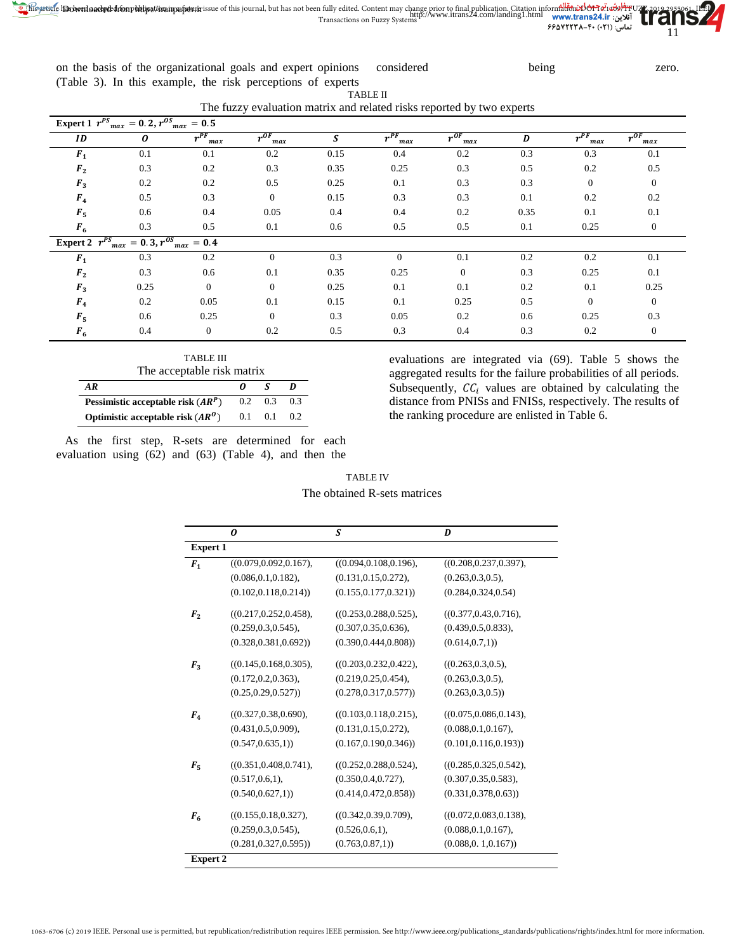on the basis of the organizational goals and expert opinions (Table 3). In this example, the risk perceptions of experts considered being zero.

TABLE II The fuzzy evaluation matrix and related risks reported by two experts

| Expert 1 $r^{PS}_{max} = 0.2, r^{OS}_{max} = 0.5$ |                                                                       |                  |                         |      |                         |                         |      |                 |                 |
|---------------------------------------------------|-----------------------------------------------------------------------|------------------|-------------------------|------|-------------------------|-------------------------|------|-----------------|-----------------|
| ID                                                | 0                                                                     | $r^{PF}$<br>max  | $r^{OF}$ <sub>max</sub> | S    | $r^{PF}$ <sub>max</sub> | $r^{0F}$ <sub>max</sub> | D    | $r^{PF}$<br>max | $r^{0F}$<br>max |
| $F_1$                                             | 0.1                                                                   | 0.1              | 0.2                     | 0.15 | 0.4                     | 0.2                     | 0.3  | 0.3             | 0.1             |
| F <sub>2</sub>                                    | 0.3                                                                   | 0.2              | 0.3                     | 0.35 | 0.25                    | 0.3                     | 0.5  | 0.2             | 0.5             |
| $F_3$                                             | 0.2                                                                   | 0.2              | 0.5                     | 0.25 | 0.1                     | 0.3                     | 0.3  | $\overline{0}$  | $\overline{0}$  |
| F <sub>4</sub>                                    | 0.5                                                                   | 0.3              | $\mathbf{0}$            | 0.15 | 0.3                     | 0.3                     | 0.1  | 0.2             | 0.2             |
| $F_5$                                             | 0.6                                                                   | 0.4              | 0.05                    | 0.4  | 0.4                     | 0.2                     | 0.35 | 0.1             | 0.1             |
| $F_6$                                             | 0.3                                                                   | 0.5              | 0.1                     | 0.6  | 0.5                     | 0.5                     | 0.1  | 0.25            | $\overline{0}$  |
|                                                   | Expert 2 $r^{PS}$ <sub>max</sub> = 0.3, $r^{OS}$ <sub>max</sub> = 0.4 |                  |                         |      |                         |                         |      |                 |                 |
| F <sub>1</sub>                                    | 0.3                                                                   | 0.2              | $\mathbf{0}$            | 0.3  | $\Omega$                | 0.1                     | 0.2  | 0.2             | 0.1             |
| F <sub>2</sub>                                    | 0.3                                                                   | 0.6              | 0.1                     | 0.35 | 0.25                    | $\mathbf{0}$            | 0.3  | 0.25            | 0.1             |
| $F_3$                                             | 0.25                                                                  | $\mathbf{0}$     | $\theta$                | 0.25 | 0.1                     | 0.1                     | 0.2  | 0.1             | 0.25            |
| F <sub>4</sub>                                    | 0.2                                                                   | 0.05             | 0.1                     | 0.15 | 0.1                     | 0.25                    | 0.5  | $\Omega$        | $\Omega$        |
| $F_5$                                             | 0.6                                                                   | 0.25             | $\theta$                | 0.3  | 0.05                    | 0.2                     | 0.6  | 0.25            | 0.3             |
| $F_6$                                             | 0.4                                                                   | $\boldsymbol{0}$ | 0.2                     | 0.5  | 0.3                     | 0.4                     | 0.3  | 0.2             | $\overline{0}$  |

| TABLE III<br>The acceptable risk matrix |     |                 |     |  |  |  |  |  |  |
|-----------------------------------------|-----|-----------------|-----|--|--|--|--|--|--|
| AR<br>- 5                               |     |                 |     |  |  |  |  |  |  |
| Pessimistic acceptable risk $(AR^P)$    |     | $0.2 \quad 0.3$ | 0.3 |  |  |  |  |  |  |
| Optimistic acceptable risk $(AR^0)$     | 0.1 | 0.1             | 0.2 |  |  |  |  |  |  |

|                                                            |  | As the first step, R-sets are determined for each |  |  |  |  |
|------------------------------------------------------------|--|---------------------------------------------------|--|--|--|--|
| evaluation using $(62)$ and $(63)$ (Table 4), and then the |  |                                                   |  |  |  |  |

evaluations are integrated via (69). Table 5 shows the aggregated results for the failure probabilities of all periods. Subsequently,  $\mathcal{C}\mathcal{C}_i$  values are obtained by calculating the distance from PNISs and FNISs, respectively. The results of the ranking procedure are enlisted in Table 6.

|                 | 0                       | S                       | D                       |
|-----------------|-------------------------|-------------------------|-------------------------|
| <b>Expert 1</b> |                         |                         |                         |
| F <sub>1</sub>  | ((0.079, 0.092, 0.167), | ((0.094, 0.108, 0.196), | ((0.208, 0.237, 0.397), |
|                 | (0.086, 0.1, 0.182),    | (0.131, 0.15, 0.272),   | (0.263, 0.3, 0.5),      |
|                 | (0.102, 0.118, 0.214)   | (0.155, 0.177, 0.321)   | (0.284, 0.324, 0.54)    |
| F <sub>2</sub>  | ((0.217, 0.252, 0.458), | ((0.253, 0.288, 0.525), | ((0.377, 0.43, 0.716),  |
|                 | (0.259, 0.3, 0.545),    | (0.307, 0.35, 0.636),   | (0.439, 0.5, 0.833),    |
|                 | (0.328, 0.381, 0.692)   | (0.390, 0.444, 0.808))  | (0.614, 0.7, 1)         |
| $F_3$           | ((0.145, 0.168, 0.305), | ((0.203, 0.232, 0.422), | ((0.263, 0.3, 0.5),     |
|                 | (0.172, 0.2, 0.363),    | (0.219, 0.25, 0.454),   | (0.263, 0.3, 0.5),      |
|                 | (0.25, 0.29, 0.527)     | (0.278, 0.317, 0.577))  | (0.263, 0.3, 0.5)       |
| $F_{4}$         | ((0.327, 0.38, 0.690),  | ((0.103, 0.118, 0.215), | ((0.075, 0.086, 0.143), |
|                 | (0.431, 0.5, 0.909),    | (0.131, 0.15, 0.272),   | (0.088, 0.1, 0.167),    |
|                 | (0.547, 0.635, 1)       | (0.167, 0.190, 0.346)   | (0.101, 0.116, 0.193)   |
| $F_{5}$         | ((0.351, 0.408, 0.741), | ((0.252, 0.288, 0.524), | ((0.285, 0.325, 0.542), |
|                 | (0.517, 0.6, 1),        | (0.350, 0.4, 0.727),    | (0.307, 0.35, 0.583),   |
|                 | (0.540, 0.627, 1)       | (0.414, 0.472, 0.858))  | (0.331, 0.378, 0.63)    |
| F <sub>6</sub>  | ((0.155, 0.18, 0.327),  | ((0.342, 0.39, 0.709),  | ((0.072, 0.083, 0.138), |
|                 | (0.259, 0.3, 0.545),    | (0.526, 0.6, 1),        | (0.088, 0.1, 0.167),    |
|                 | (0.281, 0.327, 0.595))  | (0.763, 0.87, 1)        | (0.088, 0.1, 0.167)     |

TABLE IV The obtained R-sets matrices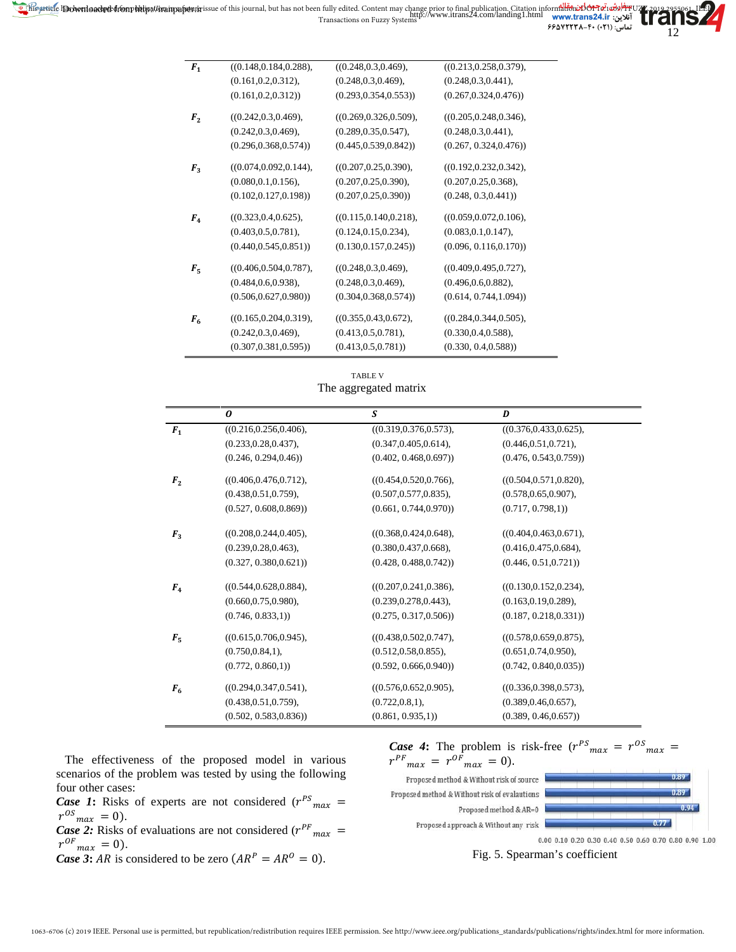| ((0.148, 0.184, 0.288), | ((0.248, 0.3, 0.469),                                                                                                                                                                                                                                   | ((0.213, 0.258, 0.379),                                                                                                                                                                                                                                    |
|-------------------------|---------------------------------------------------------------------------------------------------------------------------------------------------------------------------------------------------------------------------------------------------------|------------------------------------------------------------------------------------------------------------------------------------------------------------------------------------------------------------------------------------------------------------|
| (0.161, 0.2, 0.312),    | (0.248, 0.3, 0.469),                                                                                                                                                                                                                                    | (0.248, 0.3, 0.441),                                                                                                                                                                                                                                       |
| (0.161, 0.2, 0.312)     | (0.293, 0.354, 0.553))                                                                                                                                                                                                                                  | (0.267, 0.324, 0.476)                                                                                                                                                                                                                                      |
|                         |                                                                                                                                                                                                                                                         | ((0.205, 0.248, 0.346),                                                                                                                                                                                                                                    |
|                         |                                                                                                                                                                                                                                                         | (0.248, 0.3, 0.441),                                                                                                                                                                                                                                       |
| (0.296, 0.368, 0.574)   | (0.445, 0.539, 0.842)                                                                                                                                                                                                                                   | (0.267, 0.324, 0.476)                                                                                                                                                                                                                                      |
|                         |                                                                                                                                                                                                                                                         | ((0.192, 0.232, 0.342),                                                                                                                                                                                                                                    |
|                         |                                                                                                                                                                                                                                                         | (0.207, 0.25, 0.368),                                                                                                                                                                                                                                      |
| (0.102, 0.127, 0.198))  | (0.207, 0.25, 0.390)                                                                                                                                                                                                                                    | (0.248, 0.3, 0.441)                                                                                                                                                                                                                                        |
|                         |                                                                                                                                                                                                                                                         | ((0.059, 0.072, 0.106),                                                                                                                                                                                                                                    |
|                         |                                                                                                                                                                                                                                                         | (0.083, 0.1, 0.147),                                                                                                                                                                                                                                       |
| (0.440, 0.545, 0.851)   | (0.130, 0.157, 0.245)                                                                                                                                                                                                                                   | (0.096, 0.116, 0.170))                                                                                                                                                                                                                                     |
|                         |                                                                                                                                                                                                                                                         | ((0.409, 0.495, 0.727),                                                                                                                                                                                                                                    |
|                         |                                                                                                                                                                                                                                                         | (0.496, 0.6, 0.882),                                                                                                                                                                                                                                       |
| (0.506, 0.627, 0.980)   | (0.304, 0.368, 0.574)                                                                                                                                                                                                                                   | (0.614, 0.744, 1.094)                                                                                                                                                                                                                                      |
|                         |                                                                                                                                                                                                                                                         |                                                                                                                                                                                                                                                            |
|                         |                                                                                                                                                                                                                                                         | ((0.284, 0.344, 0.505),                                                                                                                                                                                                                                    |
|                         |                                                                                                                                                                                                                                                         | (0.330, 0.4, 0.588),                                                                                                                                                                                                                                       |
| (0.307, 0.381, 0.595)   | (0.413, 0.5, 0.781)                                                                                                                                                                                                                                     | (0.330, 0.4, 0.588))                                                                                                                                                                                                                                       |
|                         | ((0.242, 0.3, 0.469),<br>(0.242, 0.3, 0.469),<br>((0.074, 0.092, 0.144),<br>(0.080, 0.1, 0.156),<br>((0.323, 0.4, 0.625),<br>(0.403, 0.5, 0.781),<br>((0.406, 0.504, 0.787),<br>(0.484, 0.6, 0.938),<br>((0.165, 0.204, 0.319),<br>(0.242, 0.3, 0.469), | ((0.269, 0.326, 0.509),<br>(0.289, 0.35, 0.547),<br>((0.207, 0.25, 0.390),<br>(0.207, 0.25, 0.390),<br>((0.115, 0.140, 0.218),<br>(0.124, 0.15, 0.234),<br>((0.248, 0.3, 0.469),<br>(0.248, 0.3, 0.469),<br>((0.355, 0.43, 0.672),<br>(0.413, 0.5, 0.781), |

TABLE V The aggregated matrix

|                | 0                       | S                       | D                       |
|----------------|-------------------------|-------------------------|-------------------------|
| $F_1$          | ((0.216, 0.256, 0.406), | ((0.319, 0.376, 0.573), | ((0.376, 0.433, 0.625), |
|                | (0.233, 0.28, 0.437),   | (0.347, 0.405, 0.614),  | (0.446, 0.51, 0.721),   |
|                | (0.246, 0.294, 0.46)    | (0.402, 0.468, 0.697))  | (0.476, 0.543, 0.759)   |
| F <sub>2</sub> | ((0.406, 0.476, 0.712), | ((0.454, 0.520, 0.766), | ((0.504, 0.571, 0.820), |
|                | (0.438, 0.51, 0.759),   | (0.507, 0.577, 0.835),  | (0.578, 0.65, 0.907),   |
|                | (0.527, 0.608, 0.869))  | (0.661, 0.744, 0.970)   | (0.717, 0.798, 1)       |
| $F_3$          | ((0.208, 0.244, 0.405), | ((0.368, 0.424, 0.648), | ((0.404, 0.463, 0.671), |
|                | (0.239, 0.28, 0.463),   | (0.380, 0.437, 0.668),  | (0.416, 0.475, 0.684),  |
|                | (0.327, 0.380, 0.621)   | (0.428, 0.488, 0.742)   | (0.446, 0.51, 0.721)    |
| $F_{4}$        | ((0.544, 0.628, 0.884), | ((0.207, 0.241, 0.386), | ((0.130, 0.152, 0.234), |
|                | (0.660, 0.75, 0.980),   | (0.239, 0.278, 0.443),  | (0.163, 0.19, 0.289),   |
|                | (0.746, 0.833, 1)       | (0.275, 0.317, 0.506)   | (0.187, 0.218, 0.331)   |
| $F_5$          | ((0.615, 0.706, 0.945), | ((0.438, 0.502, 0.747), | ((0.578, 0.659, 0.875), |
|                | (0.750, 0.84, 1),       | (0.512, 0.58, 0.855),   | (0.651, 0.74, 0.950),   |
|                | (0.772, 0.860, 1)       | (0.592, 0.666, 0.940)   | (0.742, 0.840, 0.035)   |
| $F_6$          | ((0.294, 0.347, 0.541), | ((0.576, 0.652, 0.905), | ((0.336, 0.398, 0.573), |
|                | (0.438, 0.51, 0.759),   | (0.722, 0.8, 1),        | (0.389, 0.46, 0.657),   |
|                | (0.502, 0.583, 0.836)   | (0.861, 0.935, 1)       | (0.389, 0.46, 0.657))   |

The effectiveness of the proposed model in various scenarios of the problem was tested by using the following four other cases:

*Case 1*: Risks of experts are not considered ( $r^{PS}$ <sub>max</sub> = ase 1: Risks of experts are not considered  $(r^{rs})_{max} = 0$ .

**Case 2:** Risks of evaluations are not considered  $(r^{PF}_{max} = r^{OF}_{max} = 0)$ .

*Case 3***:** AR is considered to be zero  $(AR^P = AR^O = 0)$ .

**Case 4:** The problem is risk-free  $(r^{PS}{}_{max} = r^{OS}{}_{max} = r^{PF}{}_{max} = r^{OF}{}_{max} = 0)$ .  $r^{PF}$ <sub>max</sub> =  $r^{OF}$ <sub>max</sub> = 0).



 $0.00\ 0.10\ 0.20\ 0.30\ 0.40\ 0.50\ 0.60\ 0.70\ 0.80\ 0.90\ 1.00$ 

12

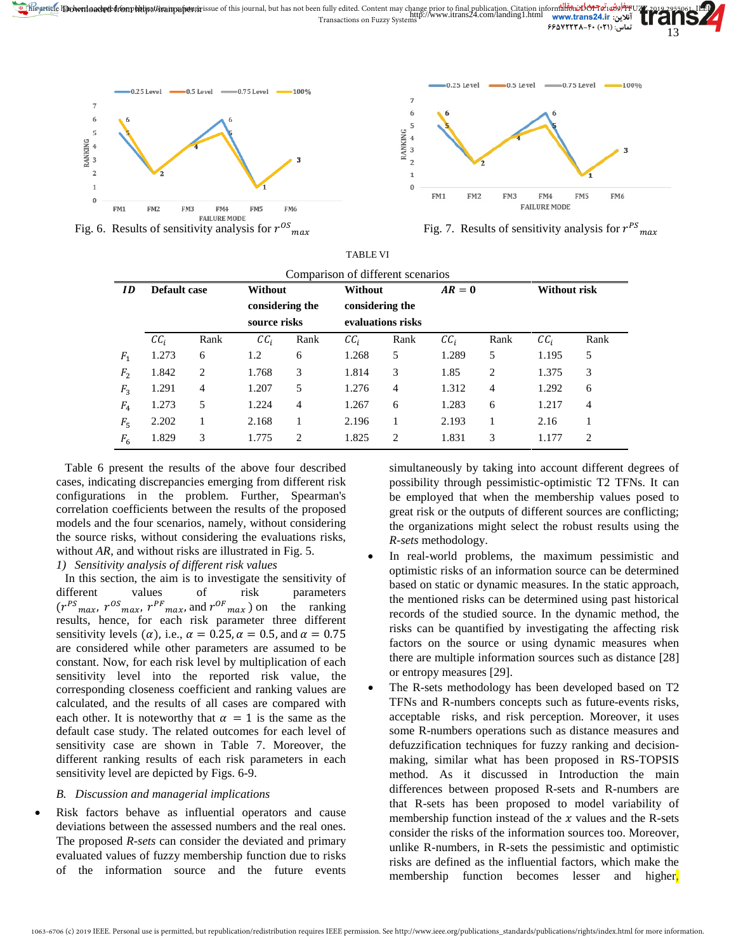



TABLE VI

Fig. 6. Results of sensitivity analysis for  $r^{OS}$ <sub>max</sub>

Fig. 7. Results of sensitivity analysis for  $r^{PS}$ <sub>max</sub>

|                | Comparison of different scenarios |                         |                            |                |                            |                   |                            |                |                            |                |
|----------------|-----------------------------------|-------------------------|----------------------------|----------------|----------------------------|-------------------|----------------------------|----------------|----------------------------|----------------|
| ID             |                                   | Default case<br>Without |                            |                | Without                    |                   |                            | Without risk   |                            |                |
|                |                                   |                         | considering the            |                | considering the            |                   |                            |                |                            |                |
|                |                                   |                         | source risks               |                |                            | evaluations risks |                            |                |                            |                |
|                | $\mathcal{C}\mathcal{C}_i$        | Rank                    | $\mathcal{C}\mathcal{C}_i$ | Rank           | $\mathcal{C}\mathcal{C}_i$ | Rank              | $\mathcal{C}\mathcal{C}_i$ | Rank           | $\mathcal{C}\mathcal{C}_i$ | Rank           |
| $F_1$          | 1.273                             | 6                       | 1.2                        | 6              | 1.268                      | 5                 | 1.289                      | 5              | 1.195                      | 5              |
| F <sub>2</sub> | 1.842                             | 2                       | 1.768                      | 3              | 1.814                      | 3                 | 1.85                       | $\overline{c}$ | 1.375                      | 3              |
| $F_3$          | 1.291                             | $\overline{4}$          | 1.207                      | 5              | 1.276                      | $\overline{4}$    | 1.312                      | $\overline{4}$ | 1.292                      | 6              |
| $F_4$          | 1.273                             | 5                       | 1.224                      | $\overline{4}$ | 1.267                      | 6                 | 1.283                      | 6              | 1.217                      | $\overline{4}$ |
| $F_5$          | 2.202                             |                         | 2.168                      |                | 2.196                      | 1                 | 2.193                      |                | 2.16                       |                |
| $F_6$          | 1.829                             | 3                       | 1.775                      | 2              | 1.825                      | $\overline{2}$    | 1.831                      | 3              | 1.177                      | $\overline{c}$ |

Table 6 present the results of the above four described cases, indicating discrepancies emerging from different risk configurations in the problem. Further, Spearman's correlation coefficients between the results of the proposed models and the four scenarios, namely, without considering the source risks, without considering the evaluations risks, without *AR*, and without risks are illustrated in Fig. 5.

# *1) Sensitivity analysis of different risk values*

In this section, the aim is to investigate the sensitivity of different values of risk parameters  $(r^{PS}{}_{max}, r^{OS}{}_{max}, r^{PF}{}_{max}, \text{and} r^{OF}{}_{max})$  on the ranking results, hence, for each risk parameter three different sensitivity levels ( $\alpha$ ), i.e.,  $\alpha = 0.25$ ,  $\alpha = 0.5$ , and  $\alpha = 0.75$ are considered while other parameters are assumed to be constant. Now, for each risk level by multiplication of each sensitivity level into the reported risk value, the corresponding closeness coefficient and ranking values are calculated, and the results of all cases are compared with each other. It is noteworthy that  $\alpha = 1$  is the same as the default case study. The related outcomes for each level of sensitivity case are shown in Table 7. Moreover, the different ranking results of each risk parameters in each sensitivity level are depicted by Figs. 6-9.

# *B. Discussion and managerial implications*

Risk factors behave as influential operators and cause deviations between the assessed numbers and the real ones. The proposed *R-sets* can consider the deviated and primary evaluated values of fuzzy membership function due to risks of the information source and the future events

simultaneously by taking into account different degrees of possibility through pessimistic-optimistic T2 TFNs. It can be employed that when the membership values posed to great risk or the outputs of different sources are conflicting; the organizations might select the robust results using the *R-sets* methodology.

- In real-world problems, the maximum pessimistic and optimistic risks of an information source can be determined based on static or dynamic measures. In the static approach, the mentioned risks can be determined using past historical records of the studied source. In the dynamic method, the risks can be quantified by investigating the affecting risk factors on the source or using dynamic measures when there are multiple information sources such as distance [28] or entropy measures [29].
- The R-sets methodology has been developed based on T2 TFNs and R-numbers concepts such as future-events risks, acceptable risks, and risk perception. Moreover, it uses some R-numbers operations such as distance measures and defuzzification techniques for fuzzy ranking and decisionmaking, similar what has been proposed in RS-TOPSIS method. As it discussed in Introduction the main differences between proposed R-sets and R-numbers are that R-sets has been proposed to model variability of membership function instead of the  $x$  values and the R-sets consider the risks of the information sources too. Moreover, unlike R-numbers, in R-sets the pessimistic and optimistic risks are defined as the influential factors, which make the membership function becomes lesser and higher,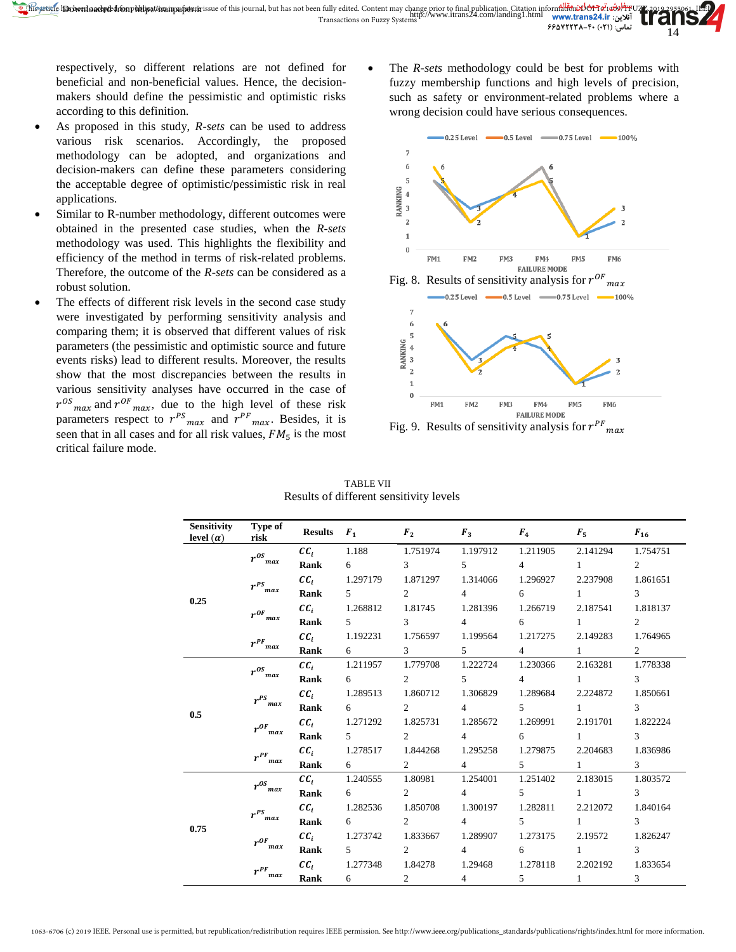respectively, so different relations are not defined for beneficial and non-beneficial values. Hence, the decisionmakers should define the pessimistic and optimistic risks according to this definition.

- As proposed in this study, *R-sets* can be used to address various risk scenarios. Accordingly, the proposed methodology can be adopted, and organizations and decision-makers can define these parameters considering the acceptable degree of optimistic/pessimistic risk in real applications.
- Similar to R-number methodology, different outcomes were obtained in the presented case studies, when the *R-sets* methodology was used. This highlights the flexibility and efficiency of the method in terms of risk-related problems. Therefore, the outcome of the *R-sets* can be considered as a robust solution.
- The effects of different risk levels in the second case study were investigated by performing sensitivity analysis and comparing them; it is observed that different values of risk parameters (the pessimistic and optimistic source and future events risks) lead to different results. Moreover, the results show that the most discrepancies between the results in various sensitivity analyses have occurred in the case of  $r^{OS}$ <sub>max</sub> and  $r^{OF}$ <sub>max</sub>, due to the high level of these risk parameters respect to  $r^{PS}_{max}$  and  $r^{PF}_{max}$ . Besides, it is seen that in all cases and for all risk values,  $FM<sub>5</sub>$  is the most critical failure mode.

The *R-sets* methodology could be best for problems with fuzzy membership functions and high levels of precision, such as safety or environment-related problems where a wrong decision could have serious consequences.



Fig. 9. Results of sensitivity analysis for  $r^{PF}$  $max$ 

| Sensitivity<br>level $(\alpha)$ | Type of<br>risk         | <b>Results</b> $F_1$ |                   | $F_2$               | $F_3$ and $F_4$ | $F_4$          | $\mathbf{F}_5$ and $\mathbf{F}_6$ | $F_{16}$                    |
|---------------------------------|-------------------------|----------------------|-------------------|---------------------|-----------------|----------------|-----------------------------------|-----------------------------|
|                                 | $r^{0S}{}_{max}$        | $cc_i$               | 1.188             | 1.751974            | 1.197912        | 1.211905       | 2.141294                          | 1.754751                    |
|                                 |                         | Rank                 | 6                 | $\mathfrak{Z}$      | $\mathbf{5}$    | $\overline{4}$ | $\mathbf{1}$                      | $\mathcal{D}_{\mathcal{L}}$ |
|                                 |                         | $cc_{i}$             | 1.297179          | 1.871297            | 1.314066        | 1.296927       | 2.237908                          | 1.861651                    |
| 0.25                            | $r^{PS}{}_{max}$        | Rank                 | $5^{\circ}$       | 2                   | $\overline{4}$  | 6              | $\mathbf{1}$                      | 3                           |
|                                 | $r^{0F}$                | $cc_i$               | 1.268812          | 1.81745             | 1.281396        | 1.266719       | 2.187541                          | 1.818137                    |
|                                 | max                     | Rank                 | $5^{\circ}$       | $\mathcal{E}$       | $\overline{4}$  | $6 \quad$      | $1 \qquad \qquad$                 | $\overline{2}$              |
|                                 |                         | $cc_i$               | 1.192231          | 1.756597            | 1.199564        | 1.217275       | 2.149283                          | 1.764965                    |
|                                 | $r^{PF}{}_{max}$        | Rank                 | $6\degree$        | $3 \quad \text{or}$ | $5^{\circ}$     | $4\degree$     | $1 \qquad \qquad$                 | $\overline{2}$              |
|                                 | $r^{OS}{}_{max}$        | $cc_i$               | 1.211957          | 1.779708            | 1.222724        | 1.230366       | 2.163281                          | 1.778338                    |
|                                 |                         | Rank                 | 6                 | 2                   | $\mathfrak{F}$  | $\overline{4}$ | $\mathbf{1}$                      | 3                           |
|                                 | $r^{PS}_{\ \ max}$      | $cc_i$               | 1.289513          | 1.860712            | 1.306829        | 1.289684       | 2.224872                          | 1.850661                    |
| 0.5                             |                         | Rank                 | $6 \quad$         | 2                   | $\overline{4}$  | $5^{\circ}$    | $1 \qquad \qquad$                 | 3                           |
|                                 | $r^{0F}{}_{max}$        | $cc_i$               | 1.271292          | 1.825731            | 1.285672        | 1.269991       | 2.191701                          | 1.822224                    |
|                                 |                         | Rank                 | $5^{\circ}$       | 2                   | $4\degree$      | 6              | $1 \qquad \qquad$                 | 3                           |
|                                 |                         | $cc_i$               | 1.278517          | 1.844268            | 1.295258        | 1.279875       | 2.204683                          | 1.836986                    |
|                                 | $r^{PF}$ <sub>max</sub> | Rank                 | 6                 | $2^{n}$             | $\overline{4}$  | 5 <sup>5</sup> | $1 \quad \cdots$                  | $\mathcal{R}$               |
|                                 |                         | $cc_i$               | 1.240555          | 1.80981             | 1.254001        | 1.251402       | 2.183015                          | 1.803572                    |
|                                 | $r^{os}{}_{max}$        | Rank                 | 6                 | 2                   | $\overline{4}$  | $\mathbf{5}$   | $\mathbf{1}$                      | $\mathcal{F}$               |
|                                 | $r^{PS}$                | $cc_i$               | 1.282536          | 1.850708            | 1.300197        | 1.282811       | 2.212072                          | 1.840164                    |
| 0.75                            | max                     | Rank                 | $6 \qquad \qquad$ | 2                   | $\overline{4}$  | 5              | $\mathbf{1}$                      | $\mathfrak{Z}$              |
|                                 | $r^{0F}$                | $cc_i$               | 1.273742          | 1.833667            | 1.289907        | 1.273175       | 2.19572                           | 1.826247                    |
|                                 | max                     | Rank                 | 5                 | 2                   | $\overline{4}$  | 6              | $\mathbf{1}$                      | $\mathcal{R}$               |
|                                 | $r^{PF}$                | $cc_i$               | 1.277348          | 1.84278             | 1.29468         | 1.278118       | 2.202192                          | 1.833654                    |
|                                 | max                     | Rank                 | 6                 | 2                   | $\overline{4}$  | 5              | $\mathbf{1}$                      | 3                           |

TABLE VII Results of different sensitivity levels